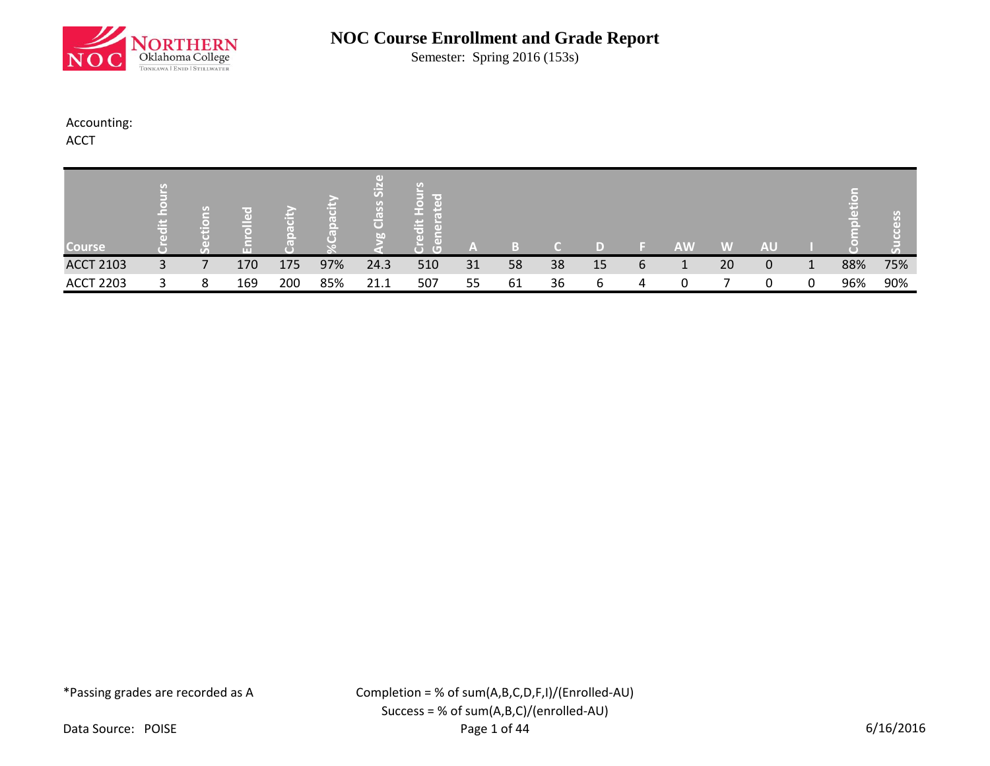

Semester: Spring 2016 (153s)

## Accounting:

ACCT

| <b>Course</b>    | - 10<br>بكت | G<br>han j | Æ<br>ш |     |     | $\sigma$<br>(U)<br>$\overline{\mathbf{C}}$<br><b>bn</b> | $\sim$<br>ω<br>7G T<br>$\Box$ | ľΔN |    |    |    |   | <b>AW</b> | W  | <b>AU</b>    |   |     |     |
|------------------|-------------|------------|--------|-----|-----|---------------------------------------------------------|-------------------------------|-----|----|----|----|---|-----------|----|--------------|---|-----|-----|
| <b>ACCT 2103</b> | 3           |            | 170    | 175 | 97% | 24.3                                                    | 510                           | 31  | 58 | 38 | 15 | 6 | J.        | 20 | $\mathbf{0}$ | 1 | 88% | 75% |
| <b>ACCT 2203</b> |             | 8          | 169    | 200 | 85% | 21.1                                                    | 507                           | 55  | 61 | 36 | h  | 4 |           |    |              | 0 | 96% | 90% |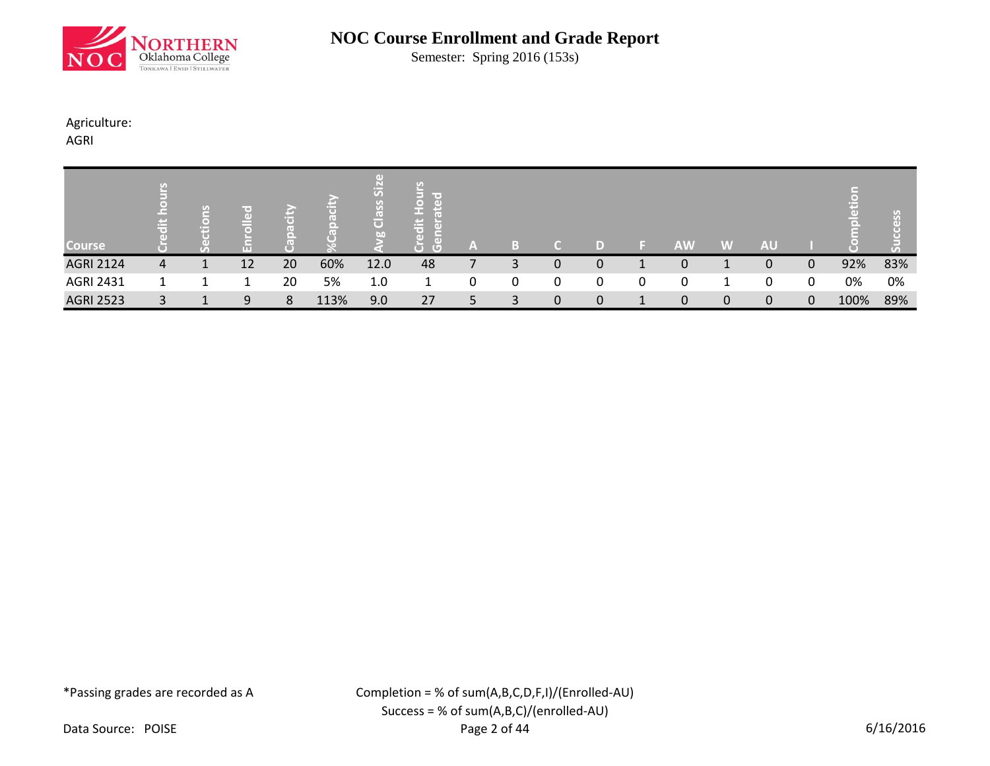

Semester: Spring 2016 (153s)

## Agriculture:

AGRI

| <b>Course</b>    | 高              | W.<br>н | <b>TELE</b> |    |      | 5<br>ငြိ<br>bn | ir es<br>$\ddot{a}$<br>$\overline{a}$<br>▀<br>$\overline{(\Box)}$<br>ে | A  |   |   |              | <b>AW</b> | W           | <b>AU</b>   |             |      |     |
|------------------|----------------|---------|-------------|----|------|----------------|------------------------------------------------------------------------|----|---|---|--------------|-----------|-------------|-------------|-------------|------|-----|
| <b>AGRI 2124</b> | $\overline{4}$ |         | 12          | 20 | 60%  | 12.0           | 48                                                                     |    | 3 | 0 | 0            | 0         |             | 0           | 0           | 92%  | 83% |
| <b>AGRI 2431</b> |                |         |             | 20 | 5%   | 1.0            |                                                                        | 0  | 0 | 0 | 0            | 0         |             | 0           | $\mathbf 0$ | 0%   | 0%  |
| <b>AGRI 2523</b> | 3              |         | 9           | 8  | 113% | 9.0            | 27                                                                     | 5. | 3 | 0 | $\mathbf{0}$ | 0         | $\mathbf 0$ | $\mathbf 0$ | 0           | 100% | 89% |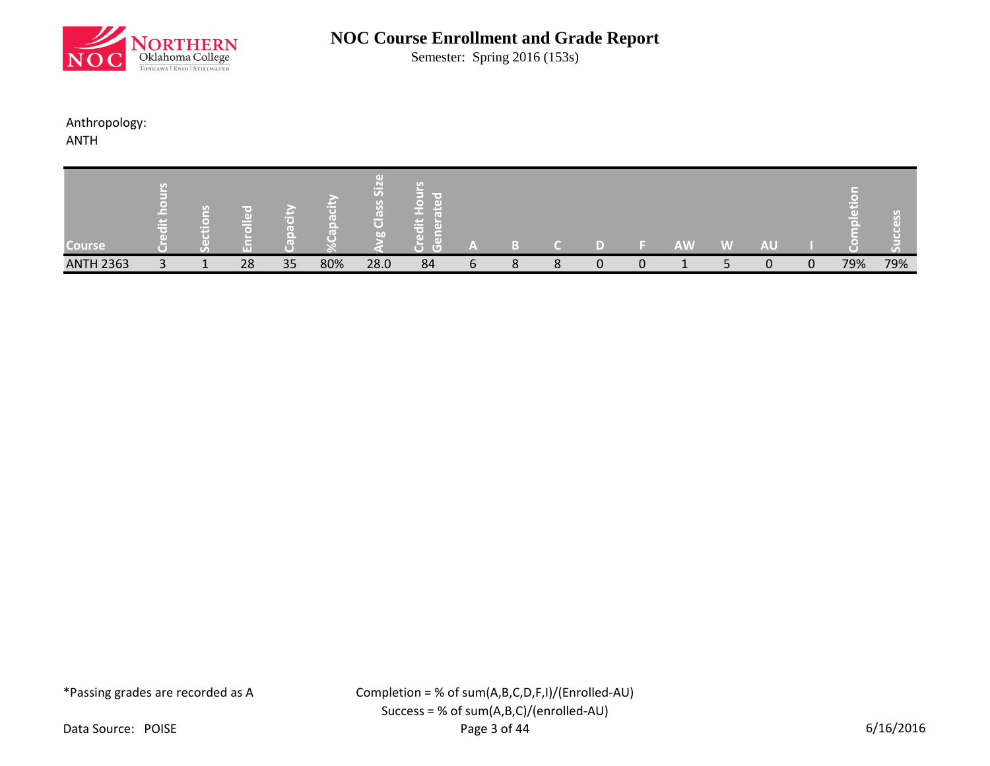

Semester: Spring 2016 (153s)

## Anthropology:

ANTH

| <b>Course</b>    |              | $\mathbf{G}$<br>m        |    |    |     | 迈<br>$\overline{\mathbf{C}}$<br><b>DO</b> | <b>Contract</b><br>ir o 1<br>m<br>GD)<br>G) | 'm |   |        |   | <b>AW</b>     | <b>W</b> | <b>AU</b> |          |     |     |
|------------------|--------------|--------------------------|----|----|-----|-------------------------------------------|---------------------------------------------|----|---|--------|---|---------------|----------|-----------|----------|-----|-----|
| <b>ANTH 2363</b> | $\mathbf{P}$ | $\overline{\phantom{a}}$ | 28 | 35 | 80% | 28.0                                      | 84                                          | ь  | 8 | Ω<br>Ο | n | <u>. на т</u> |          | 0         | $\Omega$ | 79% | 79% |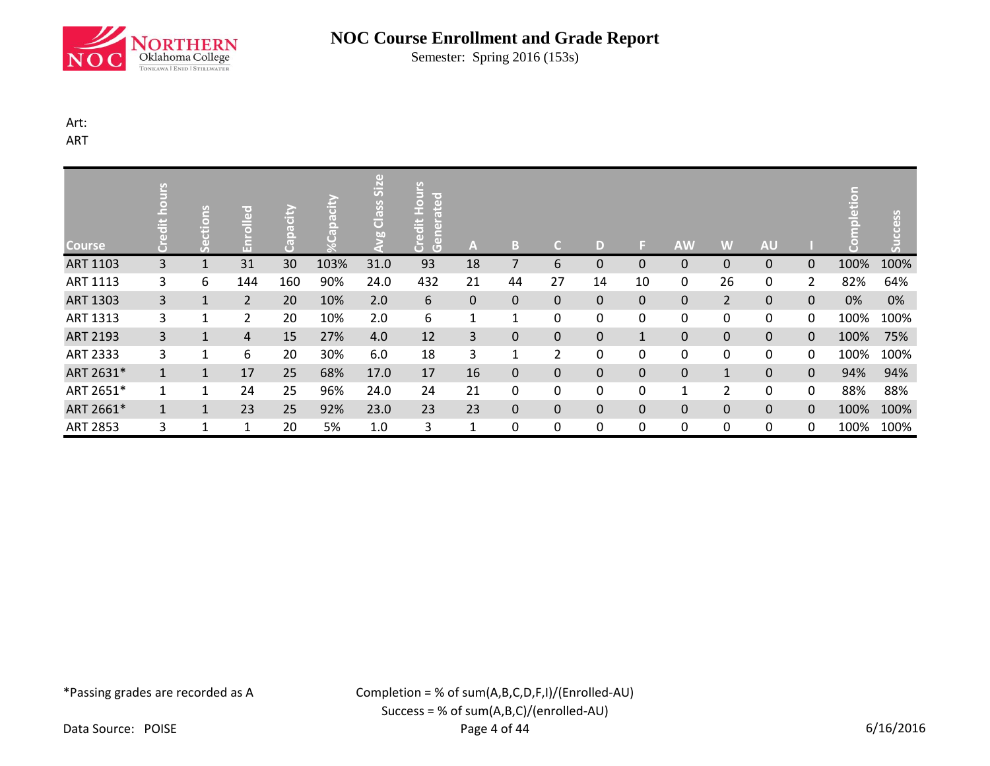

Semester: Spring 2016 (153s)

## Art:

ART

| <b>Course</b>   | SJIN<br>Ħ      | ctions<br>قی | re i<br>문      | Capacity | $\odot$ | $\ddot{\bm{5}}$<br>Class<br>ğ | $rac{1}{2}$<br><b>Pated</b><br><b>Credit</b><br>$\overline{\mathbf{d}}$<br>ã<br>$\overline{G}$ | A  | B              | C.             | D  | s.           | <b>AW</b>    | W              | <b>AU</b> |                |      | SSS  |
|-----------------|----------------|--------------|----------------|----------|---------|-------------------------------|------------------------------------------------------------------------------------------------|----|----------------|----------------|----|--------------|--------------|----------------|-----------|----------------|------|------|
| ART 1103        | 3              | $\mathbf{1}$ | 31             | 30       | 103%    | 31.0                          | 93                                                                                             | 18 | $\overline{7}$ | 6              | 0  | $\mathbf{0}$ | $\pmb{0}$    | $\pmb{0}$      | 0         | 0              | 100% | 100% |
| ART 1113        | 3              | 6            | 144            | 160      | 90%     | 24.0                          | 432                                                                                            | 21 | 44             | 27             | 14 | 10           | 0            | 26             | 0         | $\overline{2}$ | 82%  | 64%  |
| ART 1303        | 3              | $\mathbf{1}$ | $\overline{2}$ | 20       | 10%     | 2.0                           | 6                                                                                              | 0  | 0              | 0              | 0  | $\mathbf{0}$ | $\pmb{0}$    | $\overline{2}$ | 0         | $\pmb{0}$      | 0%   | 0%   |
| ART 1313        | 3              | 1            | 2              | 20       | 10%     | 2.0                           | 6                                                                                              | 1  | 1              | 0              | 0  | $\Omega$     | 0            | 0              | 0         | 0              | 100% | 100% |
| ART 2193        | 3 <sup>1</sup> | $\mathbf{1}$ | $\overline{4}$ | 15       | 27%     | 4.0                           | 12                                                                                             | 3  | $\mathbf 0$    | $\mathbf 0$    | 0  | $\mathbf{1}$ | $\pmb{0}$    | $\pmb{0}$      | 0         | $\mathbf 0$    | 100% | 75%  |
| ART 2333        | 3              | 1            | 6              | 20       | 30%     | 6.0                           | 18                                                                                             | 3  | 1              | $\overline{2}$ | 0  | 0            | 0            | 0              | 0         | 0              | 100% | 100% |
| ART 2631*       | $\mathbf{1}$   | $\mathbf{1}$ | 17             | 25       | 68%     | 17.0                          | 17                                                                                             | 16 | $\mathbf 0$    | $\pmb{0}$      | 0  | $\mathbf{0}$ | $\pmb{0}$    | $\mathbf{1}$   | 0         | $\pmb{0}$      | 94%  | 94%  |
| ART 2651*       | 1              | 1            | 24             | 25       | 96%     | 24.0                          | 24                                                                                             | 21 | 0              | 0              | 0  | 0            | $\mathbf{1}$ | 2              | 0         | 0              | 88%  | 88%  |
| ART 2661*       | $\mathbf{1}$   | $\mathbf{1}$ | 23             | 25       | 92%     | 23.0                          | 23                                                                                             | 23 | $\mathbf 0$    | $\mathbf 0$    | 0  | $\mathbf{0}$ | $\mathbf 0$  | $\pmb{0}$      | 0         | $\mathbf 0$    | 100% | 100% |
| <b>ART 2853</b> | 3              | 1            | 1              | 20       | 5%      | 1.0                           | 3                                                                                              | 1  | 0              | 0              | 0  | 0            | 0            | 0              | 0         | 0              | 100% | 100% |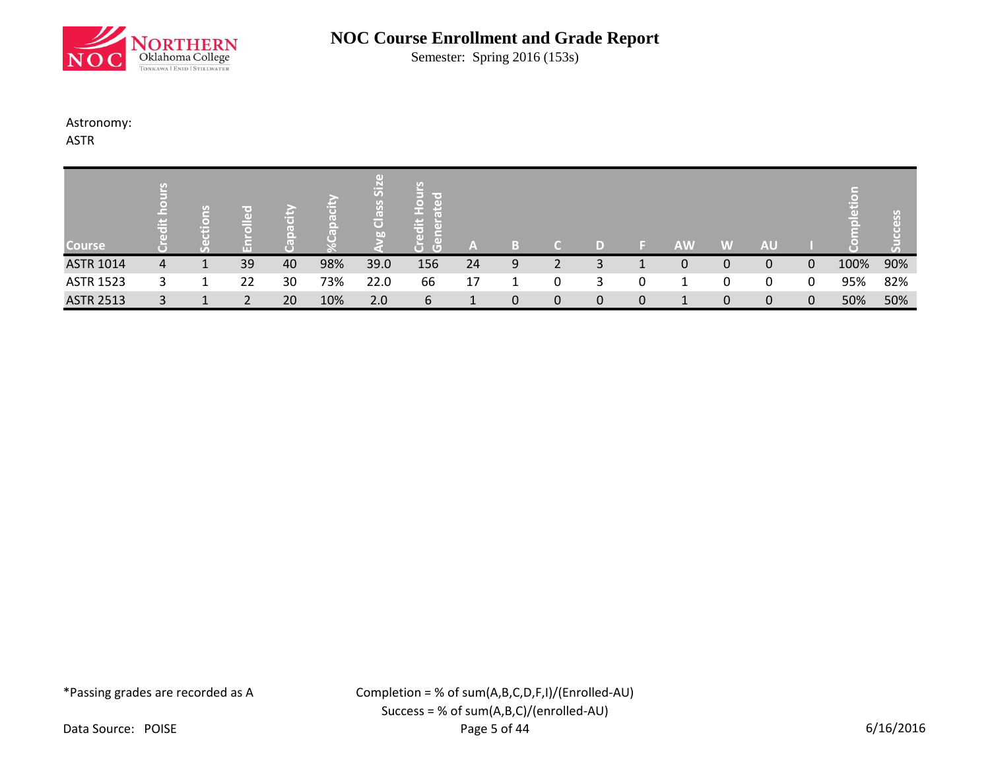

Semester: Spring 2016 (153s)

### Astronomy:

ASTR

| <b>Course</b>    | <b>Contract</b><br>高 | н |                |    |     | $\overline{5}$<br>$\vec{\bm{\sigma}}$<br>bn | lir ai<br>吉<br>$\Box$<br>ਾ | ľΔ |              |   | D | <b>AW</b> | W            | <b>AU</b>   |             |      |     |
|------------------|----------------------|---|----------------|----|-----|---------------------------------------------|----------------------------|----|--------------|---|---|-----------|--------------|-------------|-------------|------|-----|
| <b>ASTR 1014</b> | 4                    |   | 39             | 40 | 98% | 39.0                                        | 156                        | 24 | 9            |   | 3 | 0         | 0            | 0           | 0           | 100% | 90% |
| <b>ASTR 1523</b> |                      |   | 22             | 30 | 73% | 22.0                                        | 66                         | 17 |              | 0 | 3 |           | 0            | 0           | 0           | 95%  | 82% |
| <b>ASTR 2513</b> | 3                    |   | $\mathfrak{D}$ | 20 | 10% | 2.0                                         | 6                          |    | $\mathbf{0}$ | 0 | 0 | 1         | $\mathbf{0}$ | $\mathbf 0$ | $\mathbf 0$ | 50%  | 50% |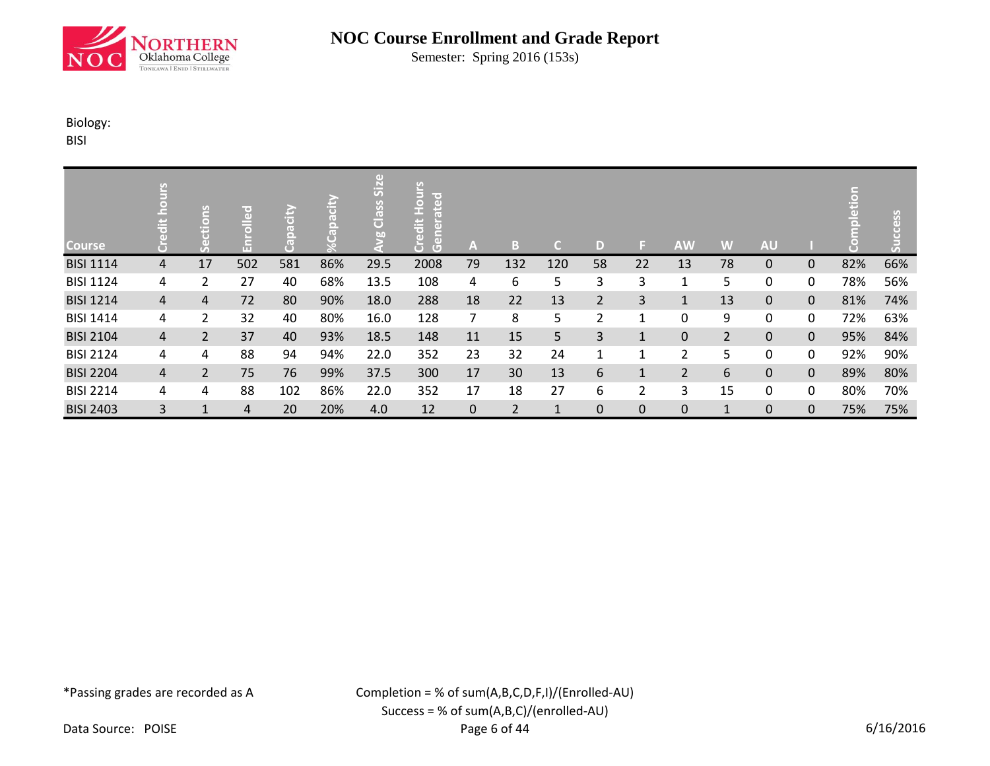

Semester: Spring 2016 (153s)

## Biology:

BISI

| <b>Course</b>    |                | <b>SUO</b><br>Ħ<br>$\left($ d | ᄝ<br>'nΤ | 高<br>$\overline{\mathbf{c}}$<br>$\bullet$ | E<br>$\overline{(\cdot)}$<br>$\circ$ | $\left( 1 \right)$<br>SiZ<br>Class<br><b>bo</b> | $rac{1}{2}$<br>ated<br>ä<br>$\tilde{\mathsf{s}}$<br>ă<br>$\overline{G}$ | A              | B              | C.           | D              | ы            | <b>AW</b>      | W              | <b>AU</b> |              |     | ess<br>$\overline{V_{\Delta}}$ |
|------------------|----------------|-------------------------------|----------|-------------------------------------------|--------------------------------------|-------------------------------------------------|-------------------------------------------------------------------------|----------------|----------------|--------------|----------------|--------------|----------------|----------------|-----------|--------------|-----|--------------------------------|
| <b>BISI 1114</b> | 4              | 17                            | 502      | 581                                       | 86%                                  | 29.5                                            | 2008                                                                    | 79             | 132            | 120          | 58             | 22           | 13             | 78             | 0         | $\mathbf{0}$ | 82% | 66%                            |
| <b>BISI 1124</b> | 4              | 2                             | 27       | 40                                        | 68%                                  | 13.5                                            | 108                                                                     | 4              | 6              | 5            | 3              | 3            | 1              | 5              | 0         | 0            | 78% | 56%                            |
| <b>BISI 1214</b> | $\overline{4}$ | $\overline{4}$                | 72       | 80                                        | 90%                                  | 18.0                                            | 288                                                                     | 18             | 22             | 13           | $\overline{2}$ | 3            | 1              | 13             | 0         | $\mathbf 0$  | 81% | 74%                            |
| <b>BISI 1414</b> | 4              | $\overline{2}$                | 32       | 40                                        | 80%                                  | 16.0                                            | 128                                                                     | $\overline{7}$ | 8              | 5            | 2              | 1            | 0              | 9              | 0         | 0            | 72% | 63%                            |
| <b>BISI 2104</b> | $\overline{4}$ | $\overline{2}$                | 37       | 40                                        | 93%                                  | 18.5                                            | 148                                                                     | 11             | 15             | 5            | 3              | $\mathbf{1}$ | $\mathbf{0}$   | $\overline{2}$ | 0         | $\mathbf{0}$ | 95% | 84%                            |
| <b>BISI 2124</b> | 4              | 4                             | 88       | 94                                        | 94%                                  | 22.0                                            | 352                                                                     | 23             | 32             | 24           | $\mathbf{1}$   | 1            | $\overline{2}$ | 5              | 0         | 0            | 92% | 90%                            |
| <b>BISI 2204</b> | 4              | $\overline{2}$                | 75       | 76                                        | 99%                                  | 37.5                                            | 300                                                                     | 17             | 30             | 13           | 6              | $\mathbf{1}$ | $\overline{2}$ | 6              | $\pmb{0}$ | $\mathbf 0$  | 89% | 80%                            |
| <b>BISI 2214</b> | 4              | 4                             | 88       | 102                                       | 86%                                  | 22.0                                            | 352                                                                     | 17             | 18             | 27           | 6              | 2            | 3              | 15             | 0         | 0            | 80% | 70%                            |
| <b>BISI 2403</b> | 3              | $\mathbf{1}$                  | 4        | 20                                        | 20%                                  | 4.0                                             | 12                                                                      | $\mathbf{0}$   | $\overline{2}$ | $\mathbf{1}$ | 0              | 0            | $\mathbf 0$    | $\mathbf{1}$   | 0         | $\mathbf 0$  | 75% | 75%                            |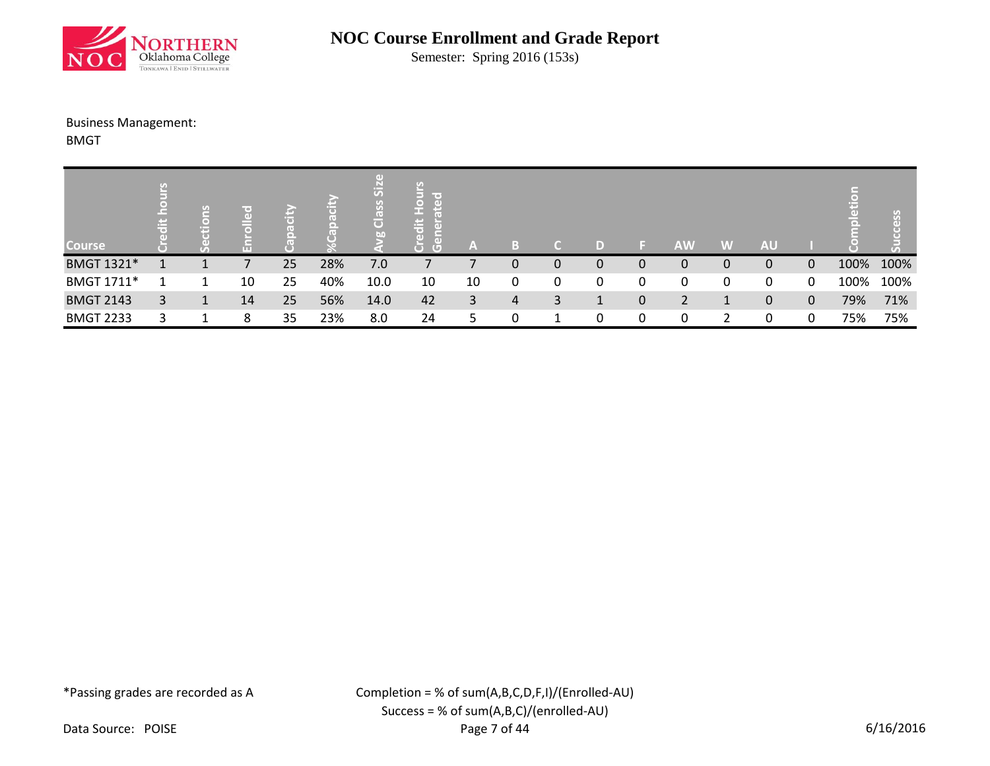

Semester: Spring 2016 (153s)

### Business Management:

BMGT

| <b>Course</b>     | 中 | leno<br>흉 |    |    |     | $\overline{S}$<br><b>Class</b><br>bo | lir oʻ<br>$\circ$<br>edit<br>$\overline{G}$<br>$\Box$ | A  |                |   | D |   | <b>AW</b>      | W | <b>AU</b> |             |      | $\sigma$ |
|-------------------|---|-----------|----|----|-----|--------------------------------------|-------------------------------------------------------|----|----------------|---|---|---|----------------|---|-----------|-------------|------|----------|
| BMGT 1321*        |   |           |    | 25 | 28% | 7.0                                  |                                                       |    | 0              | 0 | 0 | U | 0              | 0 | 0         | $\Omega$    | 100% | 100%     |
| <b>BMGT 1711*</b> |   |           | 10 | 25 | 40% | 10.0                                 | 10                                                    | 10 | 0              | 0 | 0 | 0 | 0              | 0 | 0         | 0           | 100% | 100%     |
| <b>BMGT 2143</b>  | 3 | 1         | 14 | 25 | 56% | 14.0                                 | 42                                                    | 3  | $\overline{4}$ | 3 |   | 0 | $\overline{2}$ | 1 | 0         | $\mathbf 0$ | 79%  | 71%      |
| <b>BMGT 2233</b>  |   |           | 8  | 35 | 23% | 8.0                                  | 24                                                    |    |                |   | 0 | 0 | 0              |   | 0         | 0           | 75%  | 75%      |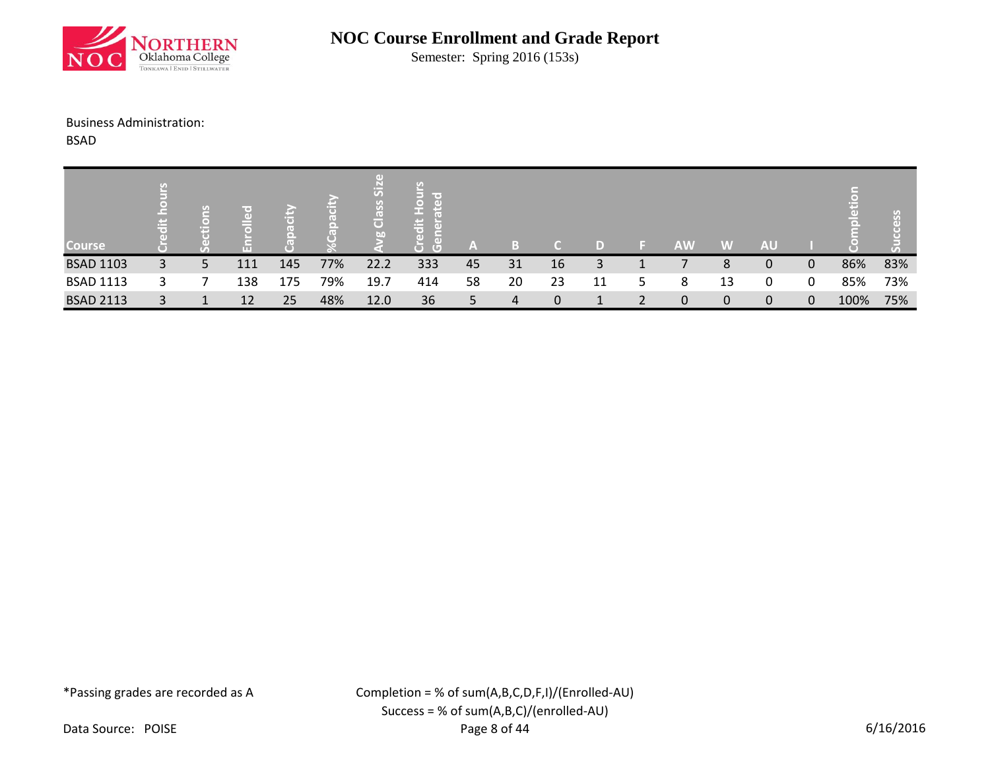

Semester: Spring 2016 (153s)

### Business Administration:

BSAD

|                  | ÷ | U. |     |     |     | $\overline{S}$<br>$\overline{\textbf{C}}$ | . .<br>품                                                    |    |    |    |    |   |           |             |           |   |      | GD. |
|------------------|---|----|-----|-----|-----|-------------------------------------------|-------------------------------------------------------------|----|----|----|----|---|-----------|-------------|-----------|---|------|-----|
| <b>Course</b>    |   |    | TП  |     |     | <b>b</b> <sub>0</sub>                     | $\overline{\phantom{a}}$<br>$\Box$<br>$\left( \Box \right)$ | A  |    |    | D) |   | <b>AW</b> | W           | <b>AU</b> |   |      |     |
| <b>BSAD 1103</b> | 3 | 5  | 111 | 145 | 77% | 22.2                                      | 333                                                         | 45 | 31 | 16 | 3  |   |           | 8           | 0         | 0 | 86%  | 83% |
| <b>BSAD 1113</b> |   |    | 138 | 175 | 79% | 19.7                                      | 414                                                         | 58 | 20 | 23 | 11 | Ь | 8         | 13          | 0         | 0 | 85%  | 73% |
| <b>BSAD 2113</b> |   |    | 12  | 25  | 48% | 12.0                                      | 36                                                          | 5. | 4  | 0  |    |   | 0         | $\mathbf 0$ | 0         | 0 | 100% | 75% |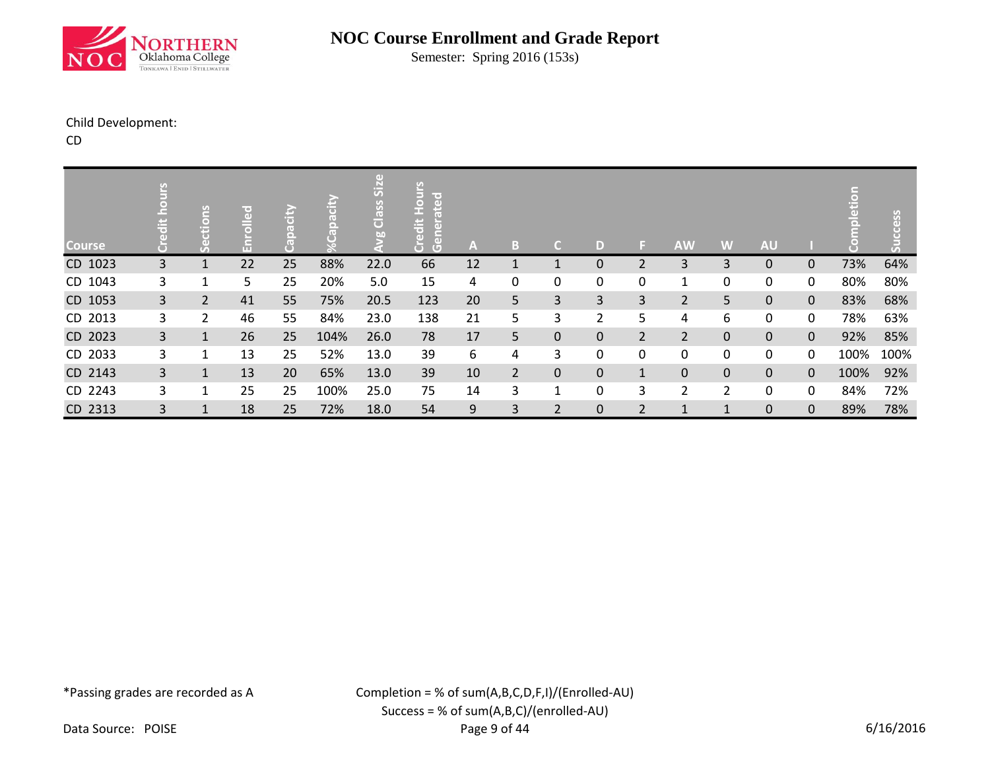

Semester: Spring 2016 (153s)

### Child Development:

CD

| <b>Course</b> | Ō              | ctions<br>وح   | 문  | k<br>Glio<br>$\overline{a}$<br>ت<br>و | $\odot$ | $\left( 1 \right)$<br>Siz<br>Class<br>ಀೢ | ated<br><b>UOH</b><br>ä<br>$\overline{5}$<br>$\overline{a}$<br>ă<br>$\overline{G}$ | A  | B              | $\mathsf{C}$   | D           | F.             | <b>AW</b>      | W              | <b>AU</b>   |              |      | ess<br>云 |
|---------------|----------------|----------------|----|---------------------------------------|---------|------------------------------------------|------------------------------------------------------------------------------------|----|----------------|----------------|-------------|----------------|----------------|----------------|-------------|--------------|------|----------|
| CD 1023       | $\overline{3}$ | 1              | 22 | 25                                    | 88%     | 22.0                                     | 66                                                                                 | 12 | 1              | 1              | 0           | 2              | 3              | 3              | 0           | 0            | 73%  | 64%      |
| CD 1043       | 3              | $\mathbf{1}$   | 5  | 25                                    | 20%     | 5.0                                      | 15                                                                                 | 4  | 0              | 0              | 0           | 0              | $\mathbf{1}$   | 0              | 0           | 0            | 80%  | 80%      |
| CD 1053       | 3 <sup>1</sup> | $\overline{2}$ | 41 | 55                                    | 75%     | 20.5                                     | 123                                                                                | 20 | 5 <sup>1</sup> | 3              | 3           | $\mathbf{3}$   | $\overline{2}$ | 5              | $\mathbf 0$ | $\mathbf{0}$ | 83%  | 68%      |
| CD 2013       | 3              | 2              | 46 | 55                                    | 84%     | 23.0                                     | 138                                                                                | 21 | 5              | 3              | 2           | 5.             | 4              | 6              | 0           | 0            | 78%  | 63%      |
| CD 2023       | $\overline{3}$ | $\mathbf{1}$   | 26 | 25                                    | 104%    | 26.0                                     | 78                                                                                 | 17 | 5              | $\mathbf 0$    | $\mathbf 0$ | $\overline{2}$ | $\overline{2}$ | $\pmb{0}$      | $\mathbf 0$ | $\mathbf{0}$ | 92%  | 85%      |
| CD 2033       | 3              | 1              | 13 | 25                                    | 52%     | 13.0                                     | 39                                                                                 | 6  | 4              | 3              | 0           | 0              | 0              | 0              | 0           | 0            | 100% | 100%     |
| CD 2143       | $\overline{3}$ | 1              | 13 | 20                                    | 65%     | 13.0                                     | 39                                                                                 | 10 | $2^{\circ}$    | $\pmb{0}$      | 0           | $\mathbf{1}$   | $\pmb{0}$      | $\pmb{0}$      | 0           | 0            | 100% | 92%      |
| CD 2243       | 3              | $\mathbf{1}$   | 25 | 25                                    | 100%    | 25.0                                     | 75                                                                                 | 14 | 3              | $\mathbf{1}$   | 0           | 3              | $\overline{2}$ | $\overline{2}$ | 0           | 0            | 84%  | 72%      |
| CD 2313       | 3              | $\mathbf{1}$   | 18 | 25                                    | 72%     | 18.0                                     | 54                                                                                 | 9  | 3              | $\overline{2}$ | 0           | $\overline{2}$ | $\mathbf{1}$   | $\mathbf{1}$   | 0           | $\mathbf 0$  | 89%  | 78%      |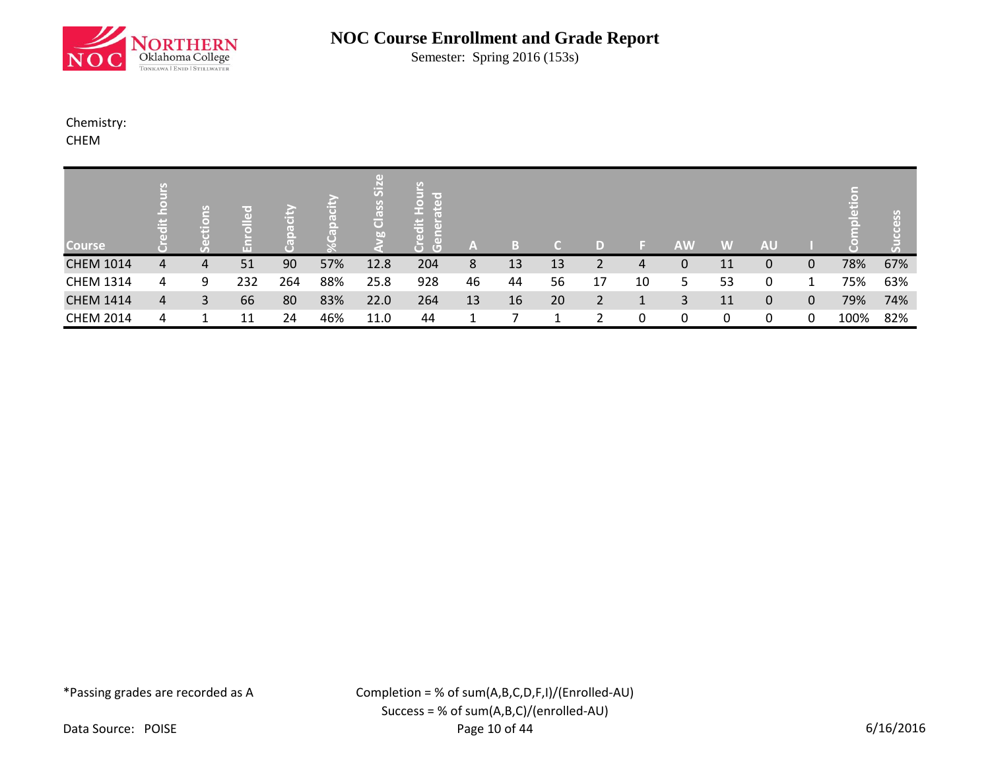

Semester: Spring 2016 (153s)

## Chemistry:

CHEM

| <b>Course</b>    | 岩 | ctions |     |     |     | $\overline{5}$<br><b>SS</b><br>$\overline{\mathbf{o}}$<br><b>b</b> <sub>0</sub> | lir o t<br>$\Box$<br>$\ddot{a}$<br>$\overline{a}$<br>ā<br>$\overline{G}$ | ZA. |    |    | D              |    | <b>AW</b> | W  | <b>AU</b> |              |      | SS  |
|------------------|---|--------|-----|-----|-----|---------------------------------------------------------------------------------|--------------------------------------------------------------------------|-----|----|----|----------------|----|-----------|----|-----------|--------------|------|-----|
| <b>CHEM 1014</b> | 4 | 4      | 51  | 90  | 57% | 12.8                                                                            | 204                                                                      | 8   | 13 | 13 | າ              | 4  | 0         | 11 | 0         | 0            | 78%  | 67% |
| <b>CHEM 1314</b> | 4 | 9      | 232 | 264 | 88% | 25.8                                                                            | 928                                                                      | 46  | 44 | 56 | 17             | 10 | 5         | 53 | 0         |              | 75%  | 63% |
| <b>CHEM 1414</b> | 4 | 3      | 66  | 80  | 83% | 22.0                                                                            | 264                                                                      | 13  | 16 | 20 | $\overline{2}$ |    | 3         | 11 | 0         | $\mathbf{0}$ | 79%  | 74% |
| <b>CHEM 2014</b> | 4 |        | 11  | 24  | 46% | 11.0                                                                            | 44                                                                       |     |    |    | ำ              |    | 0         | 0  | 0         | 0            | 100% | 82% |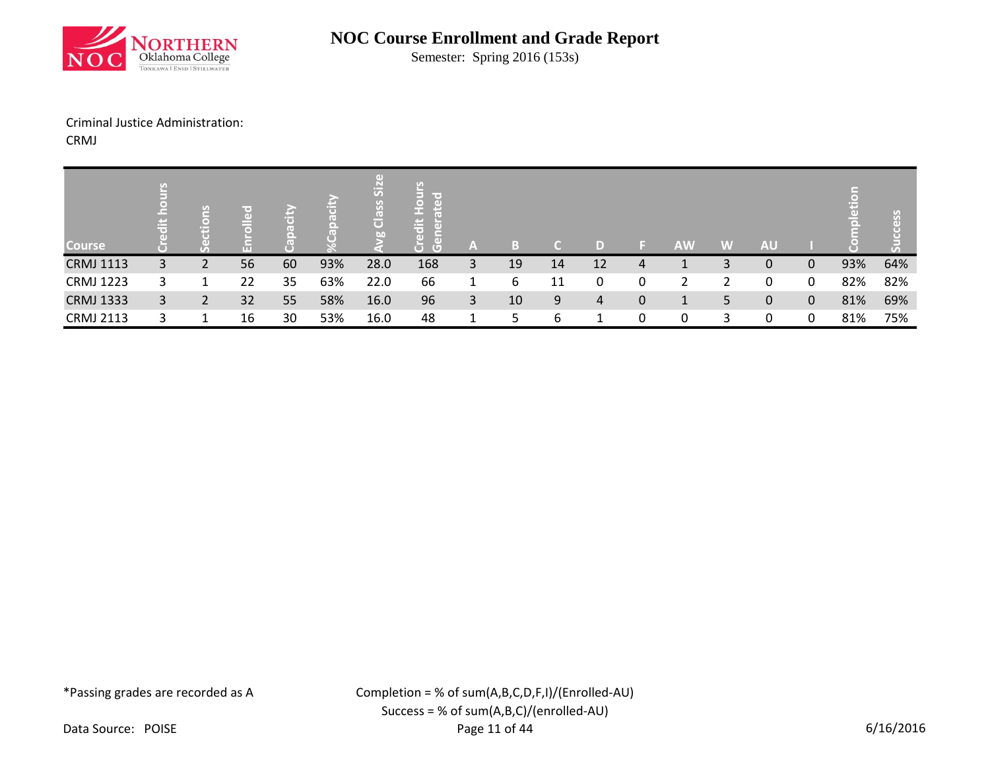

Semester: Spring 2016 (153s)

### Criminal Justice Administration:

CRMJ

| <b>Course</b>    | 高 | lang<br>È.     |    |    |     | $\ddot{5}$<br>$\overline{\frac{2}{1}}$<br>bn | lir oʻ<br>$\Box$<br>edit<br>ÆT<br>$\overline{G}$ | A |    |    | D  |   | <b>AW</b> | W | <b>AU</b> |              |     | SS<br>$\left( \mathbf{1}\right)$ |
|------------------|---|----------------|----|----|-----|----------------------------------------------|--------------------------------------------------|---|----|----|----|---|-----------|---|-----------|--------------|-----|----------------------------------|
| <b>CRMJ 1113</b> | 3 |                | 56 | 60 | 93% | 28.0                                         | 168                                              | 3 | 19 | 14 | 12 | 4 |           | 3 | 0         | $\mathbf{0}$ | 93% | 64%                              |
| <b>CRMJ 1223</b> | 3 |                | 22 | 35 | 63% | 22.0                                         | 66                                               |   | 6  | 11 | 0  |   |           |   | 0         | 0            | 82% | 82%                              |
| <b>CRMJ 1333</b> | 3 | $\overline{2}$ | 32 | 55 | 58% | 16.0                                         | 96                                               | 3 | 10 | 9  | 4  | 0 | 1         | 5 | 0         | $\mathbf 0$  | 81% | 69%                              |
| <b>CRMJ 2113</b> |   |                | 16 | 30 | 53% | 16.0                                         | 48                                               | 1 |    | 6  |    |   | 0         | 3 | 0         | 0            | 81% | 75%                              |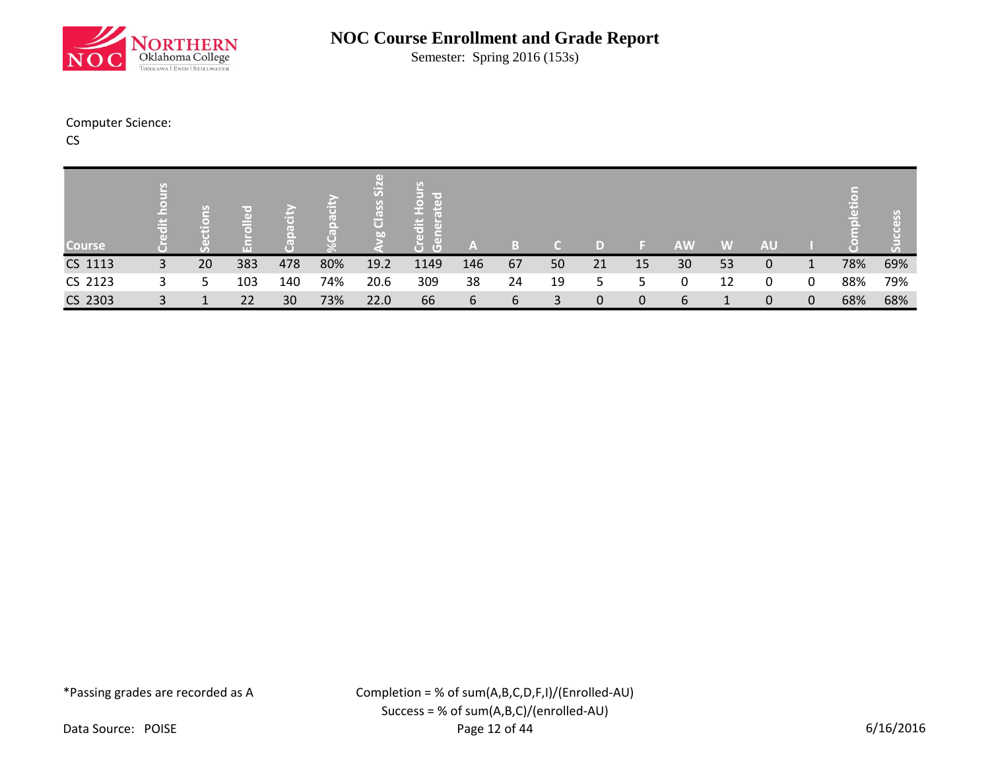

Semester: Spring 2016 (153s)

### Computer Science:

CS

|               | وسمع<br>高 | $\sigma$ | πe:<br>GDI |     |     | 5<br>$\bullet$<br>S6<br>$\vec{\mathbf{o}}$<br>b <sub>0</sub> | 픊<br>$\Box$<br>$\overline{a}$ |     |              |    |    |    |           |    |           |   |     |     |
|---------------|-----------|----------|------------|-----|-----|--------------------------------------------------------------|-------------------------------|-----|--------------|----|----|----|-----------|----|-----------|---|-----|-----|
| <b>Course</b> |           |          |            |     |     |                                                              | $\overline{(\mathbb{G})}$     | A   | l = 1<br>۱., |    |    |    | <b>AW</b> | W  | <b>AU</b> |   |     |     |
| CS 1113       | 3         | 20       | 383        | 478 | 80% | 19.2                                                         | 1149                          | 146 | 67           | 50 | 21 | 15 | 30        | 53 | 0         | 1 | 78% | 69% |
| CS 2123       | 3         | 5        | 103        | 140 | 74% | 20.6                                                         | 309                           | 38  | 24           | 19 | 5  | 5. | 0         | 12 | 0         | 0 | 88% | 79% |
| CS 2303       | 3         |          | 22         | 30  | 73% | 22.0                                                         | 66                            | 6   | 6            | 3  | 0  | 0  | 6         |    | 0         | 0 | 68% | 68% |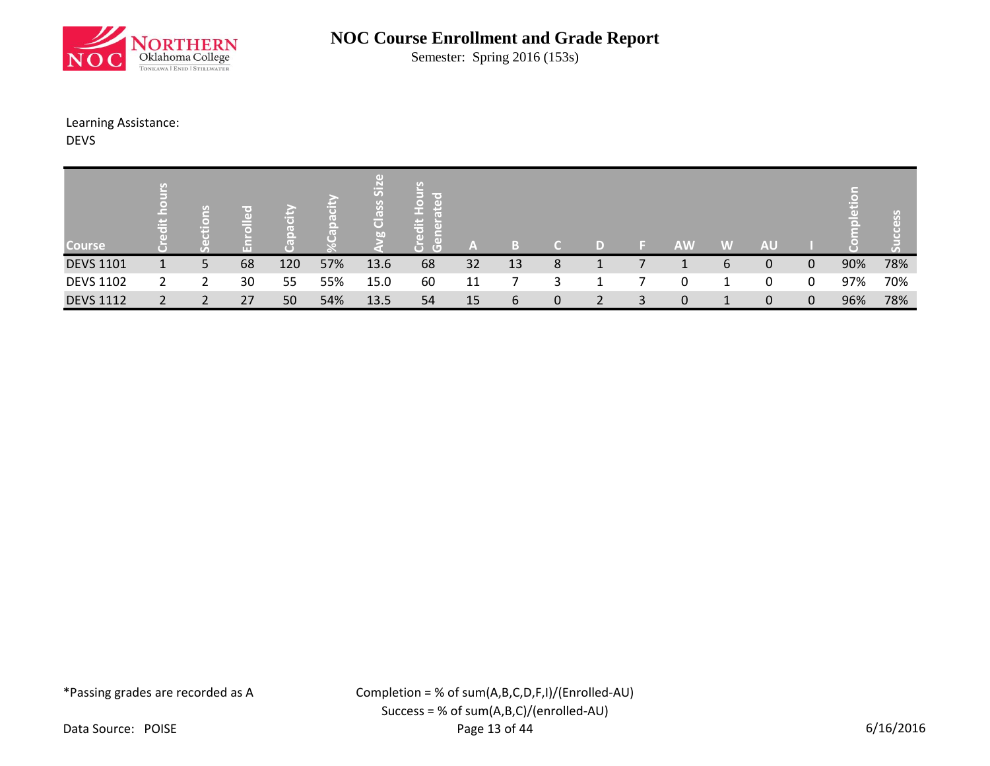

Semester: Spring 2016 (153s)

### Learning Assistance:

DEVS

| <b>Course</b>    | Ë | $\approx$<br>$\Box$<br>E |    |     |     | $\overline{5}$<br>lo.<br>G<br>bn | lir oʻ<br>i≑<br>ਰਿ<br>GD.<br>╼<br>$\Box$<br>$\left( \mathbb{G}\right)$ | A  |    |   | D |   | <b>AW</b> | W            | <b>AU</b> |             |     | U)<br>3<br>$\tau_{\rm a}$ |
|------------------|---|--------------------------|----|-----|-----|----------------------------------|------------------------------------------------------------------------|----|----|---|---|---|-----------|--------------|-----------|-------------|-----|---------------------------|
| <b>DEVS 1101</b> |   | 5                        | 68 | 120 | 57% | 13.6                             | 68                                                                     | 32 | 13 | 8 |   |   |           | 6            | 0         | 0           | 90% | 78%                       |
| <b>DEVS 1102</b> |   |                          | 30 | 55  | 55% | 15.0                             | 60                                                                     | 11 |    | 3 |   |   | 0         |              | 0         | 0           | 97% | 70%                       |
| <b>DEVS 1112</b> |   | C.                       | 27 | 50  | 54% | 13.5                             | 54                                                                     | 15 | 6  | 0 | 2 | 3 | 0         | $\mathbf{1}$ | 0         | $\mathbf 0$ | 96% | 78%                       |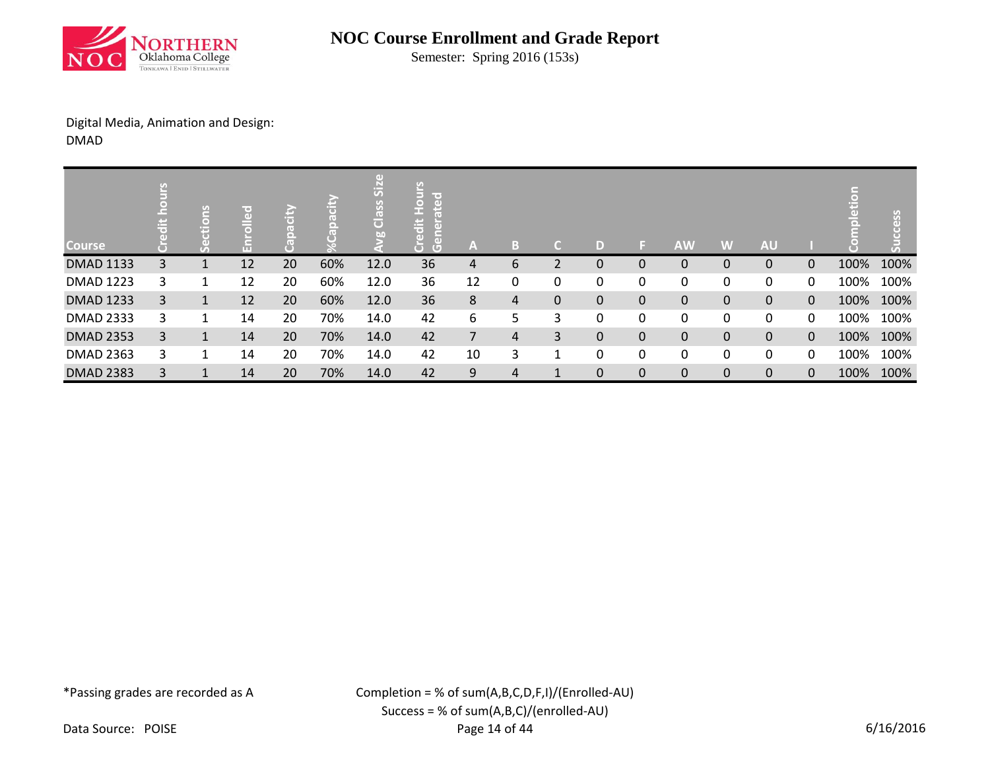

Semester: Spring 2016 (153s)

## Digital Media, Animation and Design: DMAD

| <b>Course</b>    |   | <b>SUO</b><br>ĕ | 공  |    |     | $\left( 1 \right)$<br>Siz<br>Class<br>bn | lir ed<br>$\overline{a}$<br>오<br>e<br>넘<br>듮<br>$\overline{a}$<br>ă<br>$\overline{G}$ | A  | B | a           | D |              | <b>AW</b>   | W         | <b>AU</b>    |              |      |      |
|------------------|---|-----------------|----|----|-----|------------------------------------------|---------------------------------------------------------------------------------------|----|---|-------------|---|--------------|-------------|-----------|--------------|--------------|------|------|
| <b>DMAD 1133</b> | 3 |                 | 12 | 20 | 60% | 12.0                                     | 36                                                                                    | 4  | 6 | 2           | 0 | $\Omega$     | $\mathbf 0$ | 0         | $\mathbf{0}$ | $\Omega$     | 100% | 100% |
| <b>DMAD 1223</b> | 3 |                 | 12 | 20 | 60% | 12.0                                     | 36                                                                                    | 12 | 0 | 0           | 0 | 0            | 0           | 0         | 0            | 0            | 100% | 100% |
| <b>DMAD 1233</b> | 3 | $\mathbf{1}$    | 12 | 20 | 60% | 12.0                                     | 36                                                                                    | 8  | 4 | $\mathbf 0$ | 0 | $\mathbf{0}$ | $\pmb{0}$   | $\pmb{0}$ | $\mathbf{0}$ | $\mathbf{0}$ | 100% | 100% |
| <b>DMAD 2333</b> | 3 | 1               | 14 | 20 | 70% | 14.0                                     | 42                                                                                    | 6  | 5 | 3           | 0 | 0            | 0           | 0         | 0            | 0            | 100% | 100% |
| <b>DMAD 2353</b> | 3 | $\mathbf{1}$    | 14 | 20 | 70% | 14.0                                     | 42                                                                                    | 7  | 4 | 3           | 0 | $\Omega$     | $\mathbf 0$ | $\pmb{0}$ | $\mathbf{0}$ | $\mathbf{0}$ | 100% | 100% |
| <b>DMAD 2363</b> | 3 |                 | 14 | 20 | 70% | 14.0                                     | 42                                                                                    | 10 | 3 | 1           | 0 | 0            | 0           | 0         | 0            | 0            | 100% | 100% |
| <b>DMAD 2383</b> | 3 |                 | 14 | 20 | 70% | 14.0                                     | 42                                                                                    | 9  | 4 |             | 0 | $\mathbf{0}$ | $\mathbf 0$ | 0         | $\mathbf{0}$ | 0            | 100% | 100% |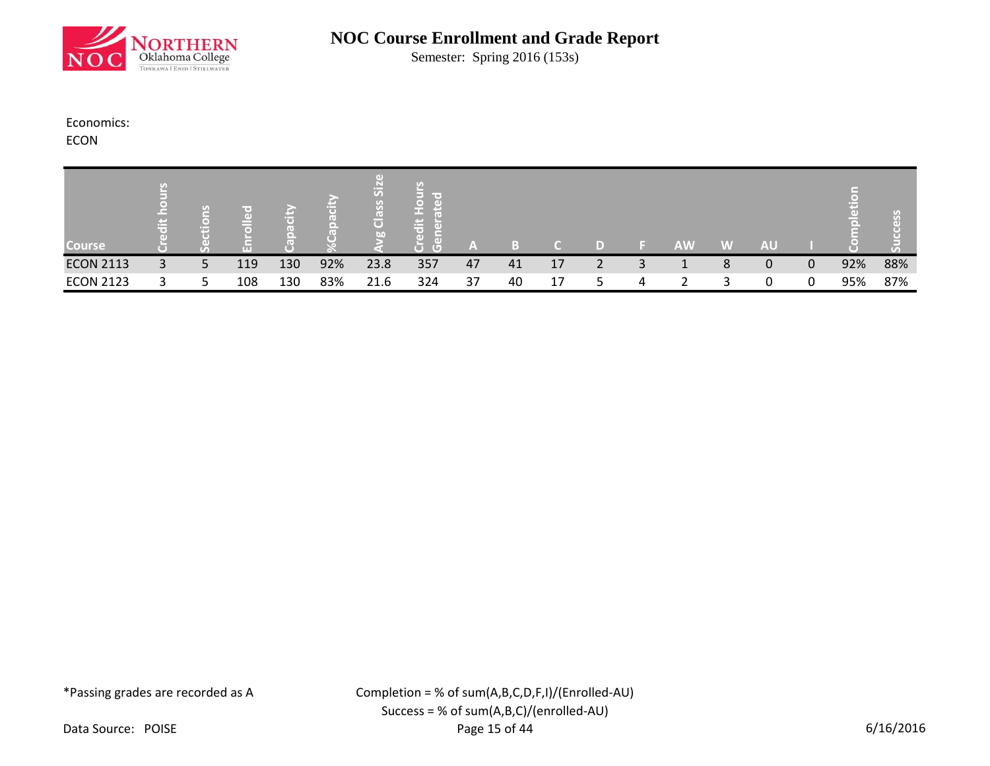

Semester: Spring 2016 (153s)

### Economics:

ECON

| <b>Course</b>    | وسمير<br>œ | $\nabla F_{\rm obs}$<br>per p | GD.<br>ш |     |     | $\overline{S}$<br>(e)<br>$\cup$<br><b>bn</b> | $\sim$<br>Œ | 7AN |    |    |   | <b>AW</b> | W | <b>AU</b>    |   |     |     |
|------------------|------------|-------------------------------|----------|-----|-----|----------------------------------------------|-------------|-----|----|----|---|-----------|---|--------------|---|-----|-----|
| <b>ECON 2113</b> | 3          | 5                             | 119      | 130 | 92% | 23.8                                         | 357         | 47  | 41 | 17 |   |           | 8 | 0            | 0 | 92% | 88% |
| <b>ECON 2123</b> |            | 5                             | 108      | 130 | 83% | 21.6                                         | 324         | 37  | 40 | 17 | 4 |           |   | <sup>n</sup> |   | 95% | 87% |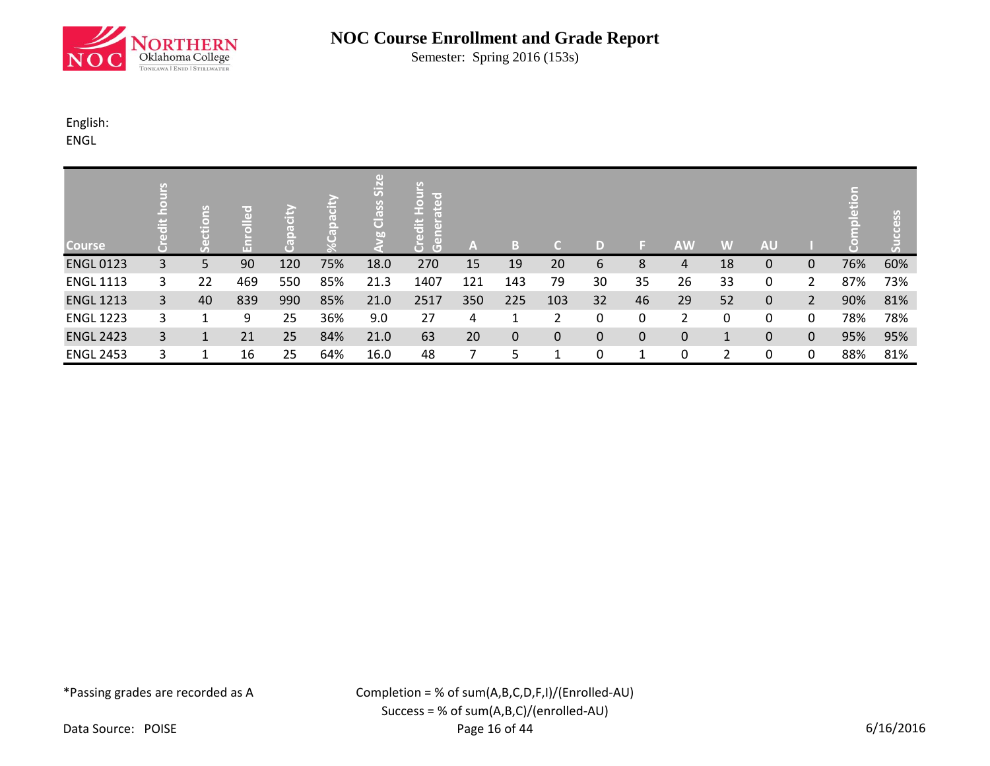

Semester: Spring 2016 (153s)

## English:

ENGL

| <b>Course</b>    |   | $\frac{12}{5}$<br>Ē | 공   | s<br>а |     | $\left( \mathbf{d} \right)$<br><b>Size</b><br>Class<br>b <sub>0</sub> | lir ed<br>$\overline{z}$<br>$\left( \mathbf{d} \right)$<br>е<br>edit<br>듦<br>$\left( \Box \right)$ | A   | в            | п            | D  |              | <b>AW</b>      | W            | <b>AU</b>    |                |     |     |
|------------------|---|---------------------|-----|--------|-----|-----------------------------------------------------------------------|----------------------------------------------------------------------------------------------------|-----|--------------|--------------|----|--------------|----------------|--------------|--------------|----------------|-----|-----|
| <b>ENGL 0123</b> | 3 | 5                   | 90  | 120    | 75% | 18.0                                                                  | 270                                                                                                | 15  | 19           | 20           | 6  | 8            | 4              | 18           | $\mathbf{0}$ | $\mathbf{0}$   | 76% | 60% |
| <b>ENGL 1113</b> | 3 | 22                  | 469 | 550    | 85% | 21.3                                                                  | 1407                                                                                               | 121 | 143          | 79           | 30 | 35           | 26             | 33           | 0            | 2              | 87% | 73% |
| <b>ENGL 1213</b> | 3 | 40                  | 839 | 990    | 85% | 21.0                                                                  | 2517                                                                                               | 350 | 225          | 103          | 32 | 46           | 29             | 52           | $\mathbf{0}$ | $\overline{2}$ | 90% | 81% |
| <b>ENGL 1223</b> | 3 |                     | 9   | 25     | 36% | 9.0                                                                   | 27                                                                                                 | 4   |              |              | 0  | 0            | $\overline{2}$ | 0            | 0            | 0              | 78% | 78% |
| <b>ENGL 2423</b> | 3 | 1                   | 21  | 25     | 84% | 21.0                                                                  | 63                                                                                                 | 20  | $\mathbf{0}$ | $\mathbf{0}$ | 0  | $\mathbf{0}$ | 0              | $\mathbf{1}$ | $\mathbf{0}$ | $\mathbf{0}$   | 95% | 95% |
| <b>ENGL 2453</b> | 3 |                     | 16  | 25     | 64% | 16.0                                                                  | 48                                                                                                 |     |              |              | 0  |              | 0              | 2            | 0            | 0              | 88% | 81% |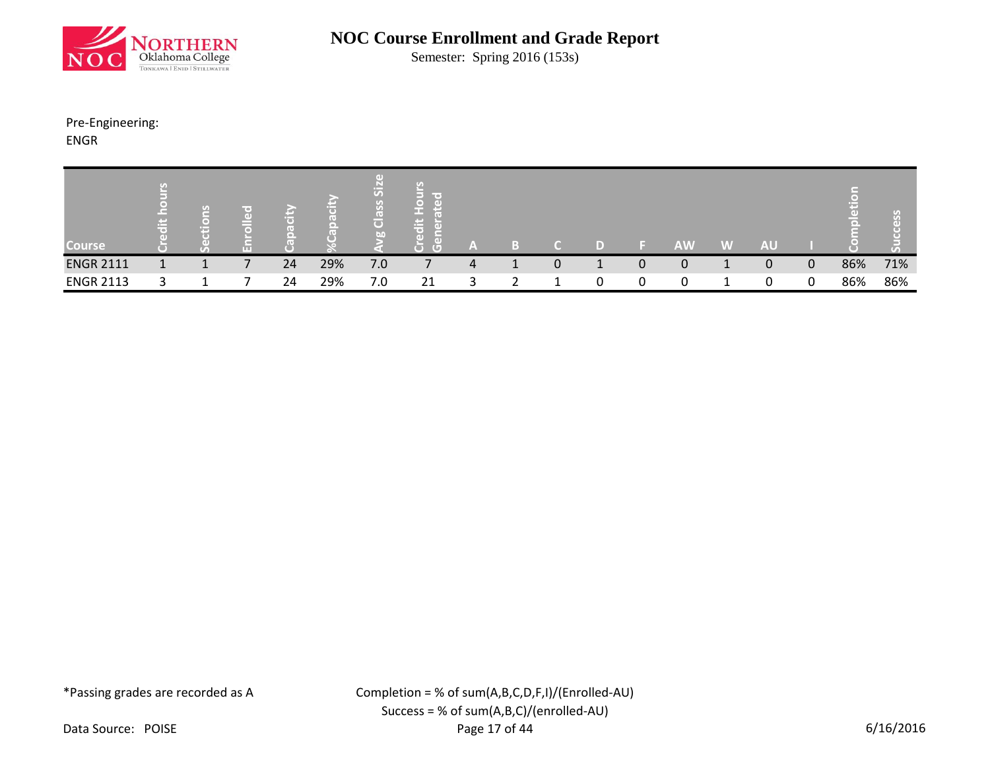

Semester: Spring 2016 (153s)

Pre-Engineering:

ENGR

| <b>Course</b>    | - 10<br>n – | U.<br>≖ | ш | −  | l o | ی<br>(e)<br>$\overline{\mathbf{o}}$<br>bn | $\sim$<br>4 P I<br>-<br>$\sqrt{2}$<br>ĈΡ | ľ٨ |   |   | <b>AW</b> | W | <b>AU</b> |              |     |     |
|------------------|-------------|---------|---|----|-----|-------------------------------------------|------------------------------------------|----|---|---|-----------|---|-----------|--------------|-----|-----|
| <b>ENGR 2111</b> |             |         |   | 24 | 29% | 7.0                                       |                                          | 4  | 0 | 0 | 0         |   | 0         | $\mathbf{0}$ | 86% | 71% |
| <b>ENGR 2113</b> |             |         |   | 24 | 29% | 7.0                                       | 21                                       |    |   |   | 0         |   |           | 0            | 86% | 86% |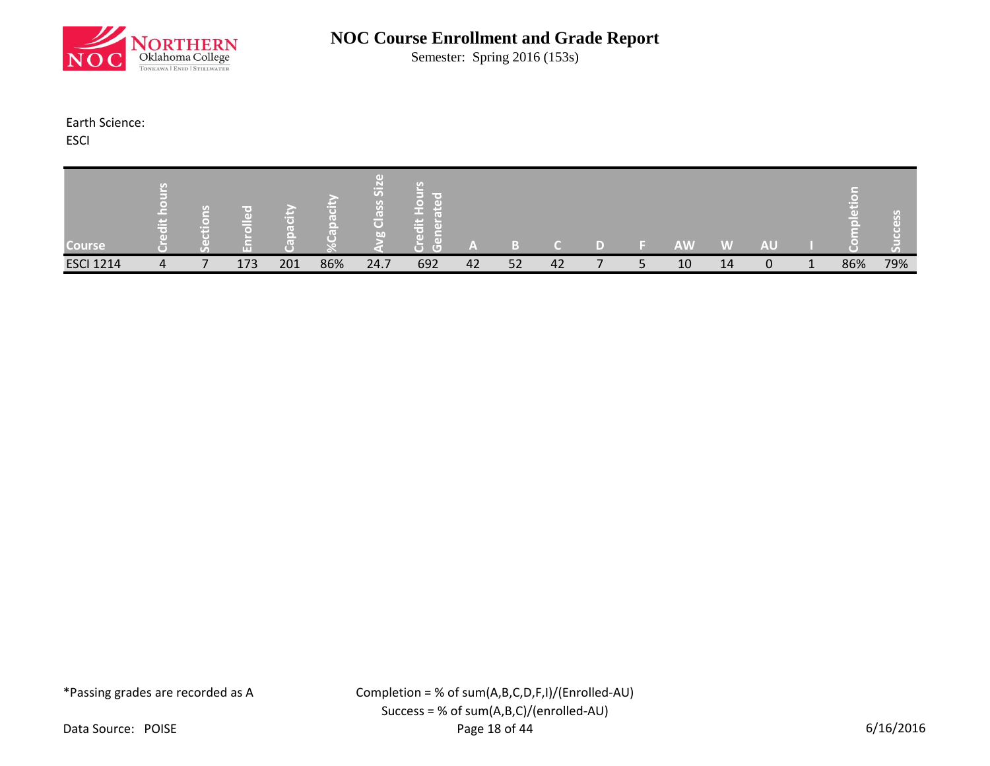

Semester: Spring 2016 (153s)

### Earth Science:

ESCI

| <b>Course</b>    |   | 뗻<br>a mar |     |     |     | S<br>ਨ<br>bn | <b>College</b><br>$\overline{(\Box)}$ | $\sim$ |    |    |  | <b>AW</b> | W  | <b>AU</b> |     |     |
|------------------|---|------------|-----|-----|-----|--------------|---------------------------------------|--------|----|----|--|-----------|----|-----------|-----|-----|
| <b>ESCI 1214</b> | 4 |            | 173 | 201 | 86% | 24.7         | 692                                   | 42     | 52 | 42 |  | 10        | 14 | 0         | 86% | 79% |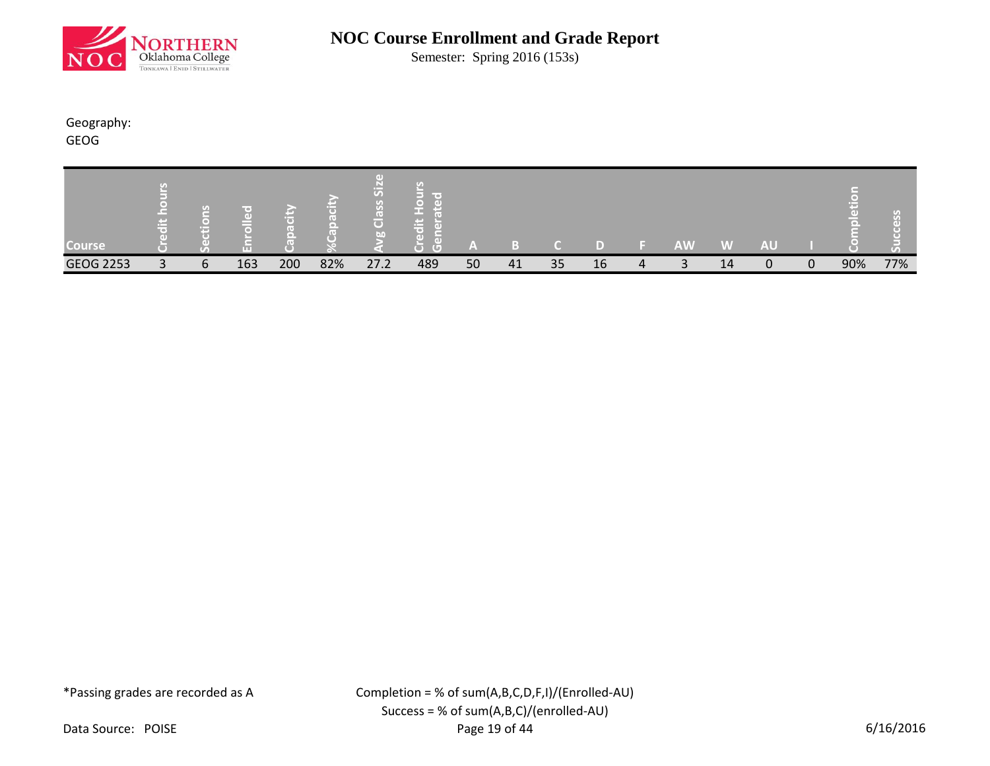

Semester: Spring 2016 (153s)

## Geography:

GEOG

| <b>Course</b>    |              | <b>LO</b><br>÷ | AT T |     |     | $\overline{S}$<br>$\overline{\mathbf{G}}$<br><b>Jan</b> | mar es<br><b>COLLECTIVE</b><br>$\sim$<br>GD.<br>(O)<br>$\sim$<br>G | A  |    |    |    | <b>AW</b>       | W  | <b>AU</b> |          |     |     |
|------------------|--------------|----------------|------|-----|-----|---------------------------------------------------------|--------------------------------------------------------------------|----|----|----|----|-----------------|----|-----------|----------|-----|-----|
| <b>GEOG 2253</b> | $\mathbf{a}$ | 6              | 163  | 200 | 82% | 27.2                                                    | 489                                                                | 50 | 41 | 35 | 16 | $\sqrt{2}$<br>ر | 14 | 0         | $\Omega$ | 90% | 77% |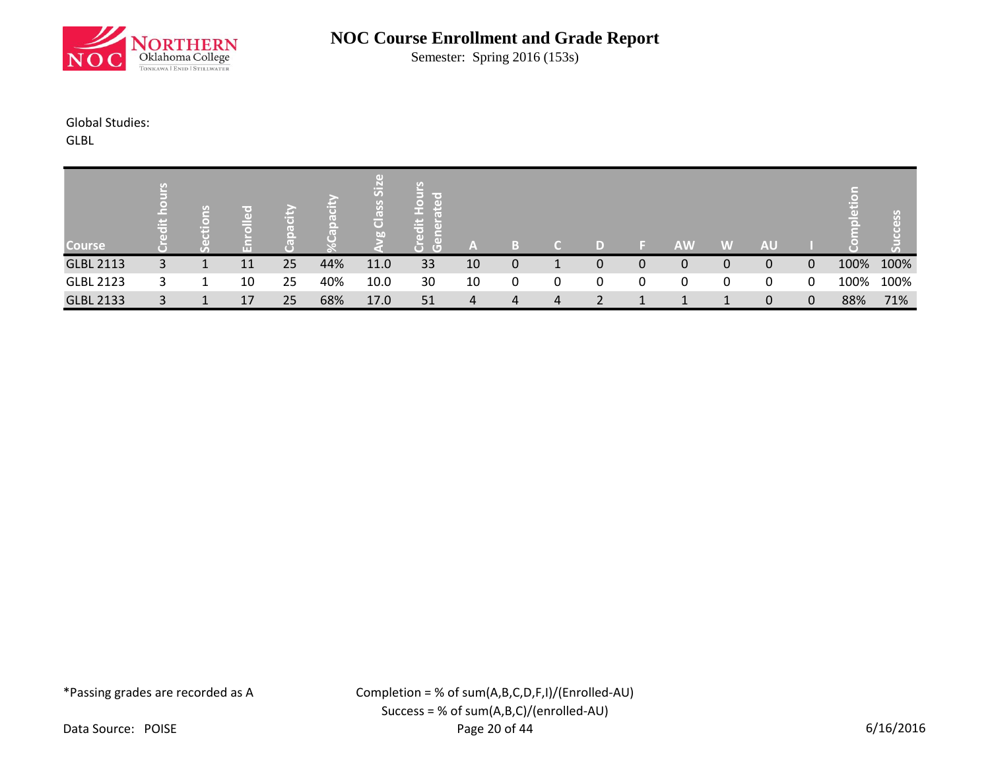

Semester: Spring 2016 (153s)

## Global Studies:

GLBL

|                  |   |        |    |    |     | $\overline{5}$                |                                                             |    |             |   |    |   |           |   |           |   |      |          |
|------------------|---|--------|----|----|-----|-------------------------------|-------------------------------------------------------------|----|-------------|---|----|---|-----------|---|-----------|---|------|----------|
| <b>Course</b>    | 忘 | G<br>н | TП |    |     | $\sigma$<br>ll (+)<br>Õ<br>bn | <b>COLLECT</b><br>흉<br>e an<br>$\overline{C}$<br>$\sqrt{2}$ | A  |             |   | D) |   | <b>AW</b> | W | <b>AU</b> |   |      | U)<br>GТ |
| <b>GLBL 2113</b> | 3 |        | 11 | 25 | 44% | 11.0                          | 33                                                          | 10 | $\mathbf 0$ |   |    | 0 | 0         | 0 | 0         | 0 | 100% | 100%     |
| <b>GLBL 2123</b> | ર |        | 10 | 25 | 40% | 10.0                          | 30                                                          | 10 | 0           | 0 | 0  |   | 0         | 0 | 0         | 0 | 100% | 100%     |
| <b>GLBL 2133</b> | 3 |        | 17 | 25 | 68% | 17.0                          | 51                                                          | 4  | 4           | 4 |    |   |           |   | 0         | 0 | 88%  | 71%      |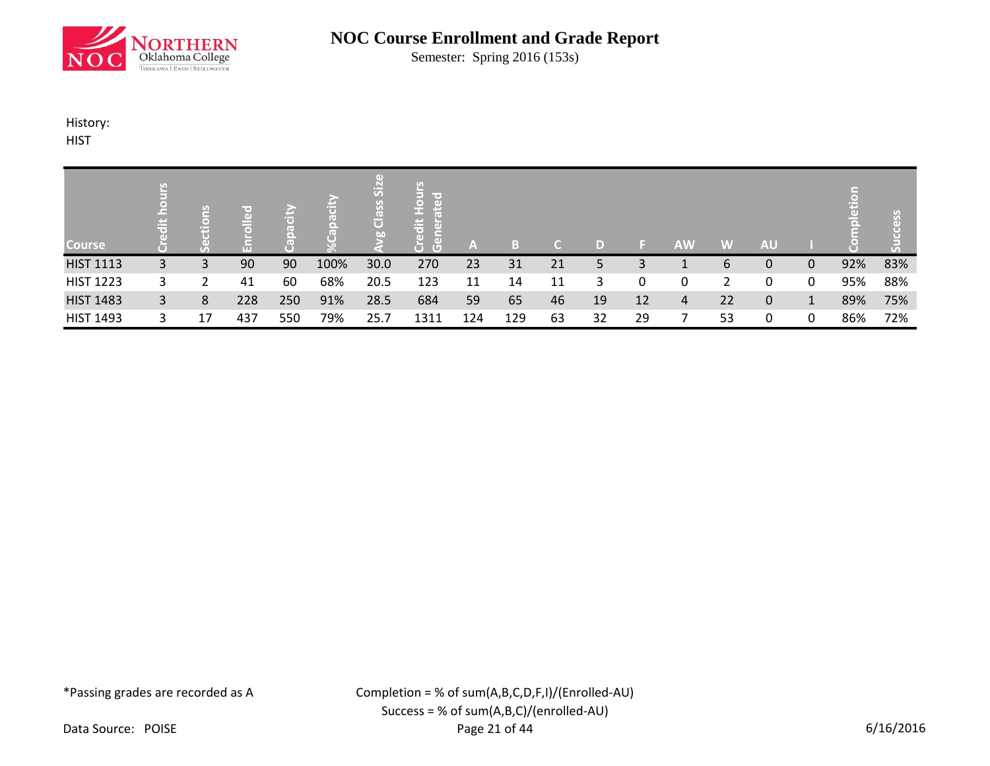

Semester: Spring 2016 (153s)

### History:

**HIST** 

| <b>Course</b>    | 岩  |    | m   | m   |      | $\overline{5}$<br>$\left( 0 \right)$<br>lō<br><b>Ian</b> | lir oʻ<br>ä<br>$\overline{a}$<br>т.<br>υ | A   | B   |    | D  |    | <b>AW</b> | W  | <b>AU</b>    |   |     | SS  |
|------------------|----|----|-----|-----|------|----------------------------------------------------------|------------------------------------------|-----|-----|----|----|----|-----------|----|--------------|---|-----|-----|
| <b>HIST 1113</b> | 3  | 3  | 90  | 90  | 100% | 30.0                                                     | 270                                      | 23  | 31  | 21 | 5  | 3  |           | 6  | 0            | 0 | 92% | 83% |
| <b>HIST 1223</b> | 3. |    | 41  | 60  | 68%  | 20.5                                                     | 123                                      | 11  | 14  | 11 | 3  |    | 0         | 2  | 0            | 0 | 95% | 88% |
| <b>HIST 1483</b> | 3  | 8  | 228 | 250 | 91%  | 28.5                                                     | 684                                      | 59  | 65  | 46 | 19 | 12 | 4         | 22 | $\mathbf{0}$ |   | 89% | 75% |
| <b>HIST 1493</b> |    | 17 | 437 | 550 | 79%  | 25.7                                                     | 1311                                     | 124 | 129 | 63 | 32 | 29 |           | 53 | 0            | 0 | 86% | 72% |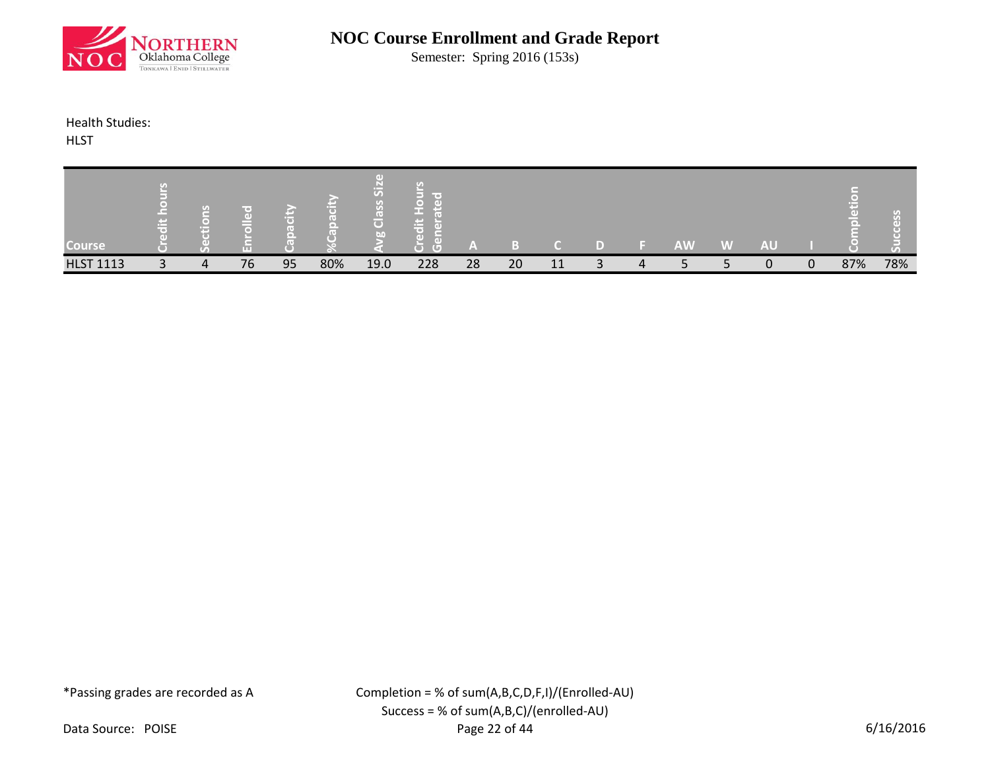

Semester: Spring 2016 (153s)

### Health Studies:

**HLST** 

| Course <sup>1</sup> |              | $\bullet$<br>m |    |    |     | 迈<br>o<br>ō<br>bn | $-1$<br>r o'i<br>m<br>O)<br>G | Z. |    |    |   | <b>AW</b> | <b>W</b> | <b>AU</b> |          |     | $\sigma$ |
|---------------------|--------------|----------------|----|----|-----|-------------------|-------------------------------|----|----|----|---|-----------|----------|-----------|----------|-----|----------|
| <b>HLST 1113</b>    | $\mathbf{r}$ | 4              | 76 | 95 | 80% | 19.0              | 228                           | 28 | 20 | 11 | 4 |           |          | 0         | $\Omega$ | 87% | 78%      |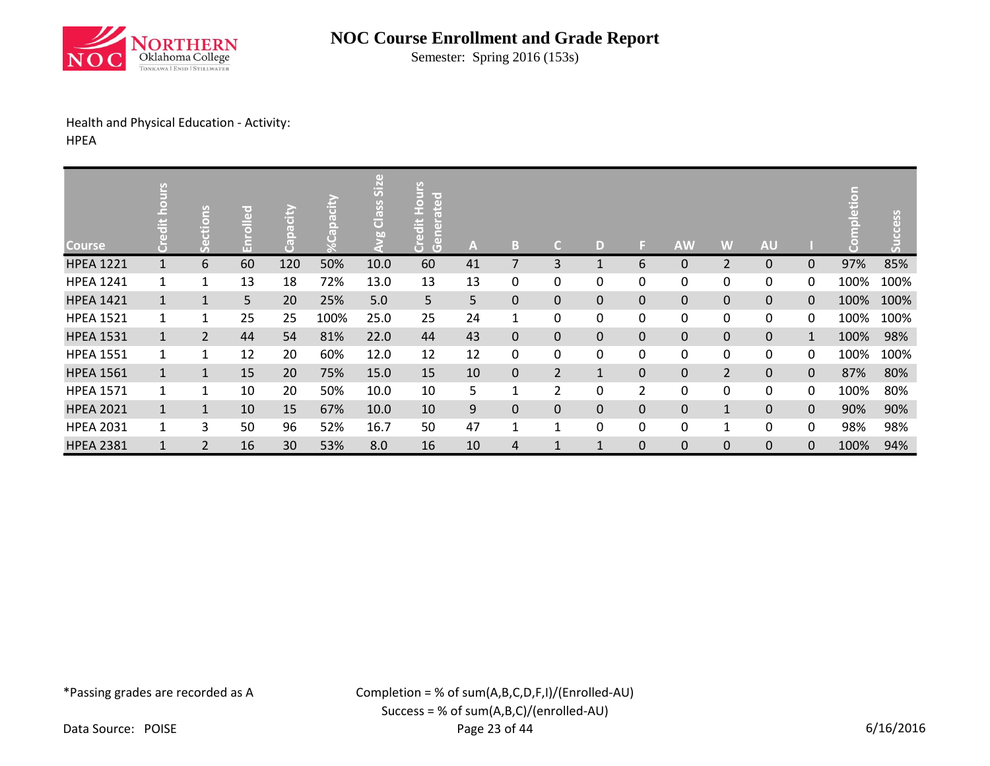

Semester: Spring 2016 (153s)

## Health and Physical Education - Activity:

HPEA

| <b>Course</b>    | ŠΙΓ<br>$\Box$ | ctions<br>قی   | $T = 1$<br>ō.<br>mп | acity<br>ō<br>U. |      | $\left( \mathbf{d} \right)$<br>Class Siz<br>60 | 9<br><b>UOH</b><br>erated<br>edit<br>Gene<br>ă | A  | TB.          | C              | D           | ы              | <b>AW</b>   | W              | <b>AU</b>      |              |      | cess |
|------------------|---------------|----------------|---------------------|------------------|------|------------------------------------------------|------------------------------------------------|----|--------------|----------------|-------------|----------------|-------------|----------------|----------------|--------------|------|------|
| <b>HPEA 1221</b> |               | 6              | 60                  | 120              | 50%  | 10.0                                           | 60                                             | 41 | 7            | 3              |             | 6              | 0           | $\overline{2}$ | 0              | 0            | 97%  | 85%  |
| <b>HPEA 1241</b> | $\mathbf{1}$  | 1              | 13                  | 18               | 72%  | 13.0                                           | 13                                             | 13 | 0            | 0              | 0           | 0              | 0           | 0              | 0              | 0            | 100% | 100% |
| <b>HPEA 1421</b> | $\mathbf{1}$  | $\mathbf{1}$   | 5                   | 20               | 25%  | 5.0                                            | 5                                              | 5  | $\mathbf{0}$ | 0              | $\mathbf 0$ | 0              | 0           | $\overline{0}$ | $\overline{0}$ | $\mathbf{0}$ | 100% | 100% |
| <b>HPEA 1521</b> |               | 1              | 25                  | 25               | 100% | 25.0                                           | 25                                             | 24 | 1            | 0              | 0           | 0              | 0           | 0              | 0              | 0            | 100% | 100% |
| <b>HPEA 1531</b> | $\mathbf{1}$  | $\overline{2}$ | 44                  | 54               | 81%  | 22.0                                           | 44                                             | 43 | $\mathbf{0}$ | $\Omega$       | $\Omega$    | $\mathbf{0}$   | $\mathbf 0$ | $\mathbf 0$    | $\mathbf 0$    | $\mathbf{1}$ | 100% | 98%  |
| <b>HPEA 1551</b> | $\mathbf{1}$  | 1              | 12                  | 20               | 60%  | 12.0                                           | 12                                             | 12 | 0            | 0              | 0           | 0              | 0           | 0              | 0              | 0            | 100% | 100% |
| <b>HPEA 1561</b> | $\mathbf{1}$  | $\mathbf{1}$   | 15                  | 20               | 75%  | 15.0                                           | 15                                             | 10 | $\mathbf{0}$ | $\overline{2}$ | 1           | $\mathbf 0$    | $\mathbf 0$ | $\overline{2}$ | 0              | $\pmb{0}$    | 87%  | 80%  |
| <b>HPEA 1571</b> | $\mathbf{1}$  | 1              | 10                  | 20               | 50%  | 10.0                                           | 10                                             | 5  | 1            | $\overline{2}$ | 0           | $\overline{2}$ | 0           | 0              | 0              | 0            | 100% | 80%  |
| <b>HPEA 2021</b> | $\mathbf{1}$  | $\mathbf{1}$   | 10                  | 15               | 67%  | 10.0                                           | 10                                             | 9  | $\mathbf 0$  | 0              | $\mathbf 0$ | 0              | 0           | $\mathbf{1}$   | 0              | $\mathbf 0$  | 90%  | 90%  |
| <b>HPEA 2031</b> | $\mathbf{1}$  | 3              | 50                  | 96               | 52%  | 16.7                                           | 50                                             | 47 | 1            | $\mathbf{1}$   | 0           | 0              | 0           | 1              | 0              | 0            | 98%  | 98%  |
| <b>HPEA 2381</b> |               | $\overline{2}$ | 16                  | 30               | 53%  | 8.0                                            | 16                                             | 10 | 4            | $\mathbf{1}$   | 1           | $\mathbf{0}$   | $\mathbf 0$ | $\mathbf 0$    | $\mathbf 0$    | $\mathbf 0$  | 100% | 94%  |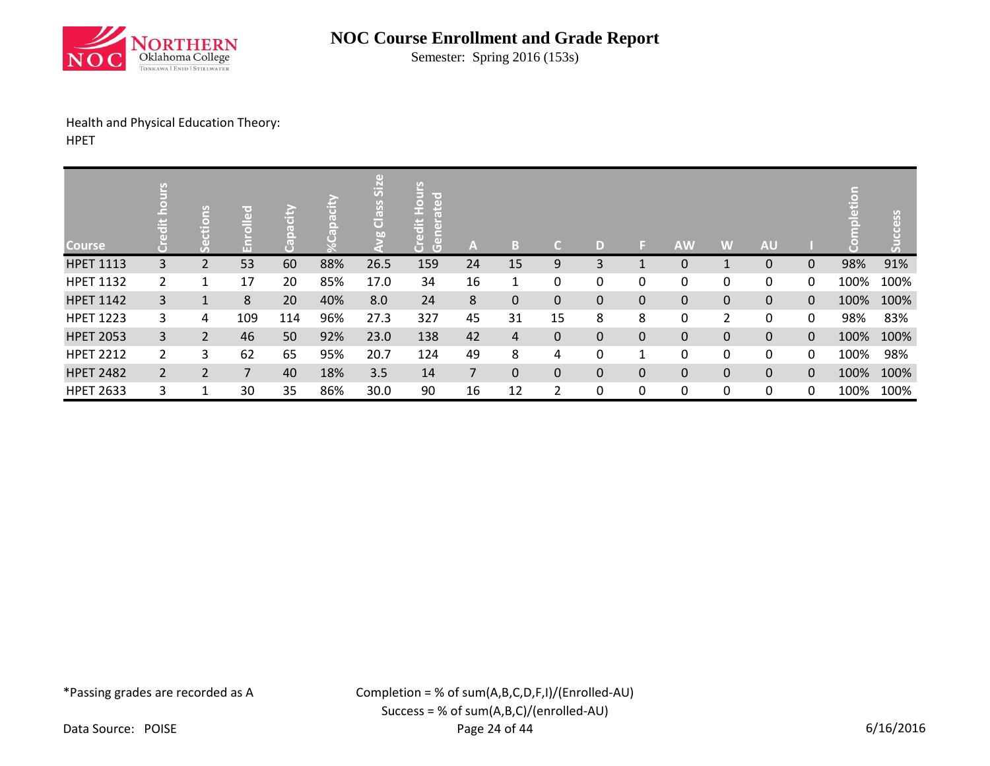

Semester: Spring 2016 (153s)

# Health and Physical Education Theory:

HPET

| <b>Course</b>    | ی              | ctions<br>$\omega$<br>v. | m              |     |     | $\overline{5}$<br>Class<br>b. | uoH<br>lice d<br>ate<br>edit<br>ă<br>ā<br>$\overline{G}$ | A              | B.             | C           | D |              | <b>AW</b>    | W            | <b>AU</b> |              |      | SSS  |
|------------------|----------------|--------------------------|----------------|-----|-----|-------------------------------|----------------------------------------------------------|----------------|----------------|-------------|---|--------------|--------------|--------------|-----------|--------------|------|------|
| <b>HPET 1113</b> | 3              | 2                        | 53             | 60  | 88% | 26.5                          | 159                                                      | 24             | 15             | 9           | 3 |              | $\mathbf 0$  | 1            | 0         | $\mathbf{0}$ | 98%  | 91%  |
| <b>HPET 1132</b> | $\mathbf{2}$   | 1                        | 17             | 20  | 85% | 17.0                          | 34                                                       | 16             | 1              | 0           | 0 | 0            | 0            | 0            | 0         | 0            | 100% | 100% |
| <b>HPET 1142</b> | 3              | 1                        | 8              | 20  | 40% | 8.0                           | 24                                                       | 8              | $\mathbf{0}$   | $\mathbf 0$ | 0 | $\mathbf{0}$ | $\mathbf{0}$ | $\mathbf{0}$ | 0         | $\mathbf{0}$ | 100% | 100% |
| <b>HPET 1223</b> | 3              | 4                        | 109            | 114 | 96% | 27.3                          | 327                                                      | 45             | 31             | 15          | 8 | 8            | 0            | 2            | 0         | 0            | 98%  | 83%  |
| <b>HPET 2053</b> | 3              | $\overline{2}$           | 46             | 50  | 92% | 23.0                          | 138                                                      | 42             | $\overline{4}$ | 0           | 0 | $\mathbf{0}$ | $\mathbf 0$  | $\mathbf 0$  | 0         | $\mathbf{0}$ | 100% | 100% |
| <b>HPET 2212</b> | $\overline{2}$ | 3                        | 62             | 65  | 95% | 20.7                          | 124                                                      | 49             | 8              | 4           | 0 | 1            | 0            | 0            | 0         | 0            | 100% | 98%  |
| <b>HPET 2482</b> | $\overline{2}$ | 2                        | $\overline{7}$ | 40  | 18% | 3.5                           | 14                                                       | $\overline{7}$ | $\mathbf{0}$   | $\mathbf 0$ | 0 | $\Omega$     | $\mathbf{0}$ | $\mathbf{0}$ | 0         | $\mathbf{0}$ | 100% | 100% |
| <b>HPET 2633</b> | 3              | 1                        | 30             | 35  | 86% | 30.0                          | 90                                                       | 16             | 12             | 2           | 0 | 0            | 0            | 0            | 0         | 0            | 100% | 100% |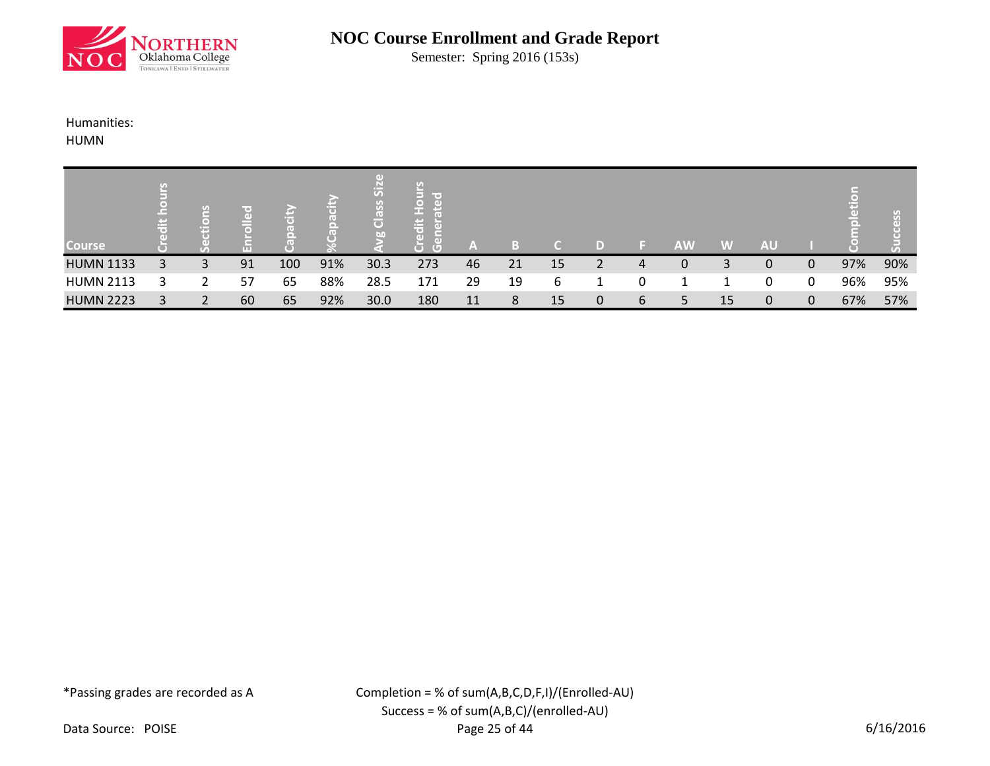

Semester: Spring 2016 (153s)

## Humanities:

HUMN

| <b>Course</b>    | وسمع<br>忘 | TG. | $\left( \mathrm{d} \right)$<br>ш |     |     | 5<br>$\mathcal{L}_{\mathcal{D}}$<br>Clas<br>bn | <b>The Contract of Street</b><br>두<br>ে<br>$\left( \Box \right)$ | /AV |    |    | D) |   | <b>AW</b> | W  | <b>AU</b> |   |     | U)<br>GТ |
|------------------|-----------|-----|----------------------------------|-----|-----|------------------------------------------------|------------------------------------------------------------------|-----|----|----|----|---|-----------|----|-----------|---|-----|----------|
| <b>HUMN 1133</b> | 3         | 3   | 91                               | 100 | 91% | 30.3                                           | 273                                                              | 46  | 21 | 15 |    | 4 | 0         | 3  | 0         | 0 | 97% | 90%      |
| <b>HUMN 2113</b> |           | ว   | 57                               | 65  | 88% | 28.5                                           | 171                                                              | 29  | 19 | 6  |    |   |           |    | 0         | 0 | 96% | 95%      |
| <b>HUMN 2223</b> |           | 2   | 60                               | 65  | 92% | 30.0                                           | 180                                                              | 11  | 8  | 15 | 0  | 6 | 5         | 15 | 0         | 0 | 67% | 57%      |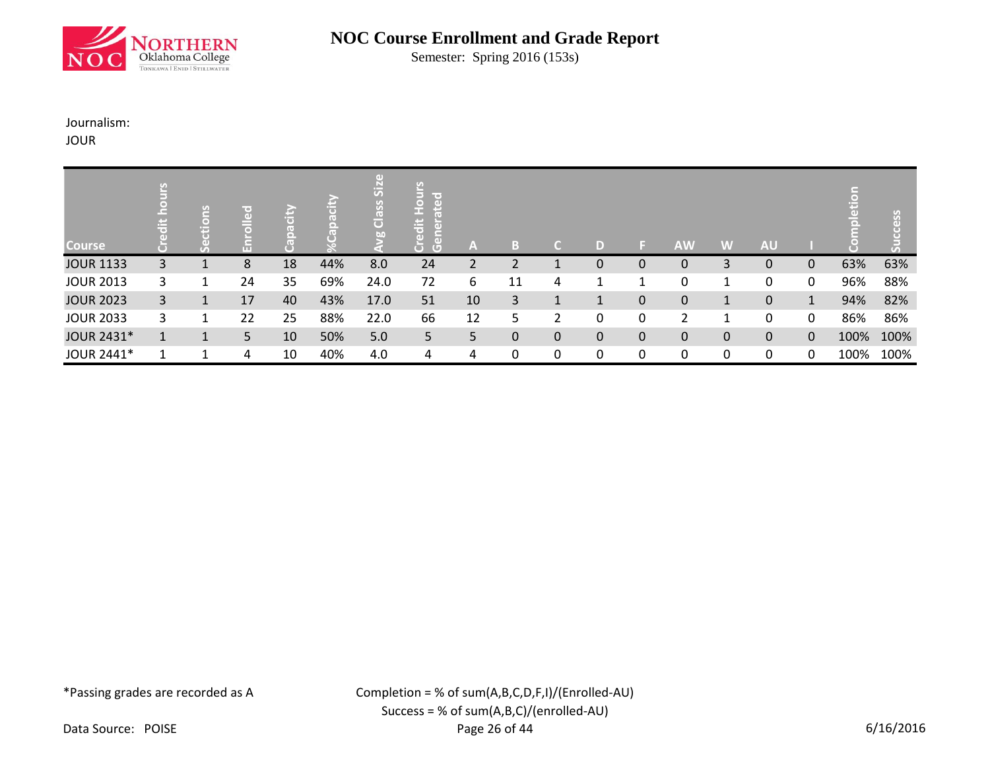

Semester: Spring 2016 (153s)

## Journalism:

JOUR

| <b>Course</b>    |   | $\frac{12}{10}$<br>Ē | n. | ю  |     | (1)<br>Siz<br>Class<br>b <sub>0</sub> | lir en<br>$\left( \mathbf{d} \right)$<br>오<br>٠<br>ä<br>듮<br>$\overline{a}$<br>$\mathbb G$ | A  | в  | п | D |              | <b>AW</b> | W | <b>AU</b> |   |      |      |
|------------------|---|----------------------|----|----|-----|---------------------------------------|--------------------------------------------------------------------------------------------|----|----|---|---|--------------|-----------|---|-----------|---|------|------|
| <b>JOUR 1133</b> | 3 |                      | 8  | 18 | 44% | 8.0                                   | 24                                                                                         | 2  | 2  |   | 0 | $\mathbf 0$  | 0         | 3 | 0         | 0 | 63%  | 63%  |
| <b>JOUR 2013</b> | 3 |                      | 24 | 35 | 69% | 24.0                                  | 72                                                                                         | 6  | 11 | 4 |   |              | 0         |   | 0         | 0 | 96%  | 88%  |
| <b>JOUR 2023</b> | 3 |                      | 17 | 40 | 43% | 17.0                                  | 51                                                                                         | 10 | 3  | 1 |   | $\mathbf{0}$ | 0         |   | 0         | 1 | 94%  | 82%  |
| <b>JOUR 2033</b> | 3 |                      | 22 | 25 | 88% | 22.0                                  | 66                                                                                         | 12 | 5  | 2 | 0 | 0            | 2         |   | 0         | 0 | 86%  | 86%  |
| JOUR 2431*       |   | $\mathbf{1}$         | 5  | 10 | 50% | 5.0                                   | 5                                                                                          | 5. | 0  | 0 | 0 | $\mathbf{0}$ | 0         | 0 | 0         | 0 | 100% | 100% |
| JOUR 2441*       |   |                      | 4  | 10 | 40% | 4.0                                   | 4                                                                                          | 4  | 0  | 0 | 0 | 0            | 0         | 0 | 0         | 0 | 100% | 100% |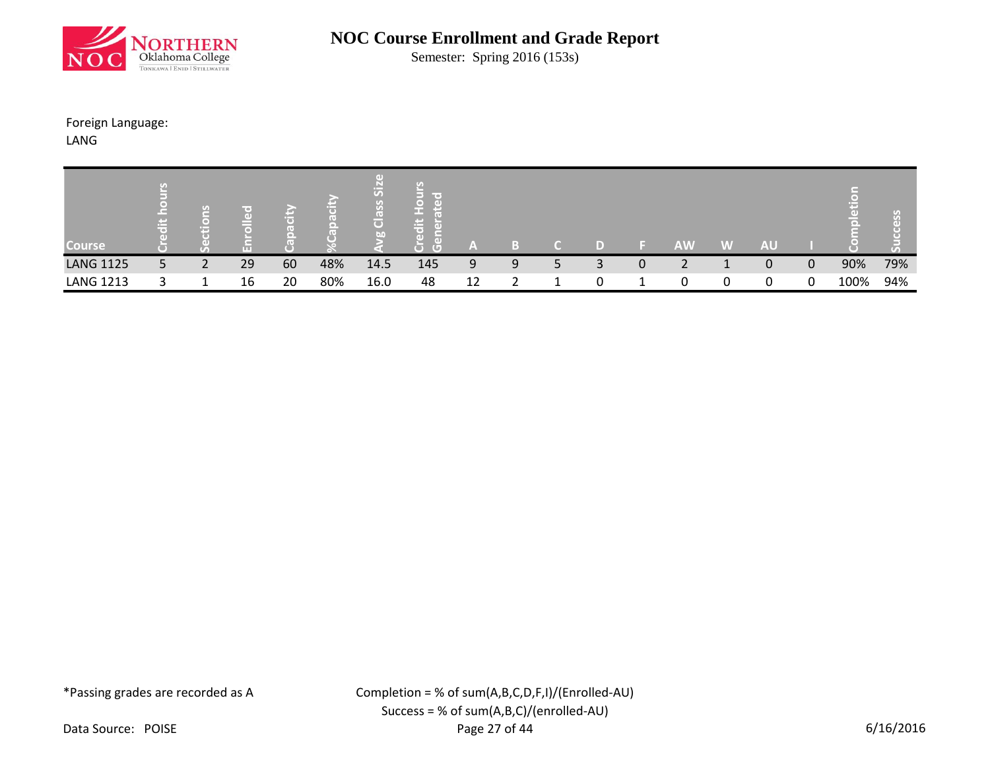

Semester: Spring 2016 (153s)

### Foreign Language:

LANG

| <b>Course</b>    | $\ddot{=}$ | <b>G</b> | Œ  |    |     | $\overline{5}$<br>$\omega$<br>õ<br>bn | <b>Contract</b><br>$\sim$<br>তা<br>$\sqrt{2}$ | A) |   |   |   | <b>AW</b> | W | <b>AU</b> |             |      |     |
|------------------|------------|----------|----|----|-----|---------------------------------------|-----------------------------------------------|----|---|---|---|-----------|---|-----------|-------------|------|-----|
| <b>LANG 1125</b> | 5          | 2        | 29 | 60 | 48% | 14.5                                  | 145                                           | 9  | 9 | 3 | 0 |           |   | 0         | $\mathbf 0$ | 90%  | 79% |
| <b>LANG 1213</b> | 2          |          | 16 | 20 | 80% | 16.0                                  | 48                                            | 12 |   | 0 |   | 0         | 0 | 0         | 0           | 100% | 94% |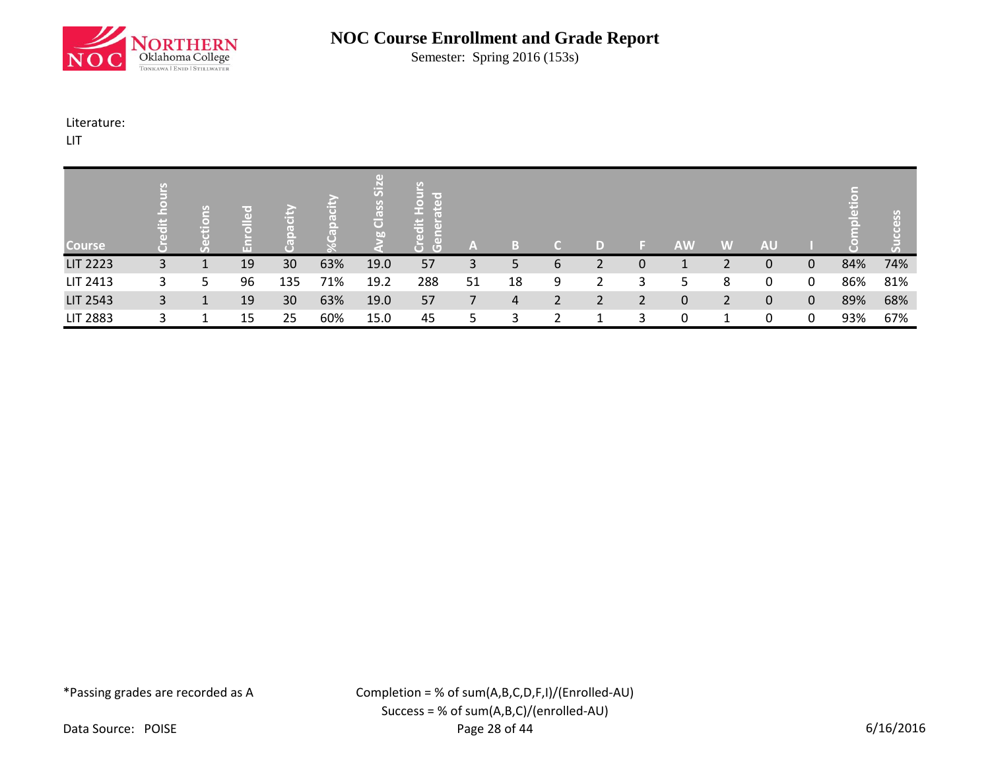

Semester: Spring 2016 (153s)

### Literature:

LIT

| <b>Course</b>   | ä | $\mathcal{L}_{\mathcal{D}}$ | GП | E,  |     | (1)<br>$\overline{\text{Si}}$<br>SSG<br>$\overline{\mathbf{o}}$<br><b>b</b> <sub>0</sub> | $\circ$<br>$\left( 1\right)$<br>$\ddot{a}$<br>$\Box$<br>$\overline{a}$<br>Ы<br>$\mathbb G$ | A  | l s'<br>۱., |   |               |          | <b>AW</b> | W             | <b>AU</b>    |              |     |     |
|-----------------|---|-----------------------------|----|-----|-----|------------------------------------------------------------------------------------------|--------------------------------------------------------------------------------------------|----|-------------|---|---------------|----------|-----------|---------------|--------------|--------------|-----|-----|
| <b>LIT 2223</b> | 3 |                             | 19 | 30  | 63% | 19.0                                                                                     | 57                                                                                         | 3  | 5           | 6 | $\mathcal{D}$ | $\Omega$ |           | $\mathcal{D}$ | 0            | $\Omega$     | 84% | 74% |
| LIT 2413        | 3 | 5                           | 96 | 135 | 71% | 19.2                                                                                     | 288                                                                                        | 51 | 18          | 9 | 2             | 3        | 5         | 8             | 0            | 0            | 86% | 81% |
| <b>LIT 2543</b> | 3 | $\mathbf{1}$                | 19 | 30  | 63% | 19.0                                                                                     | 57                                                                                         |    | 4           | 2 | 2             | 2        | 0         | 2             | $\mathbf{0}$ | $\mathbf{0}$ | 89% | 68% |
| <b>LIT 2883</b> | 3 |                             | 15 | 25  | 60% | 15.0                                                                                     | 45                                                                                         | 5  | 3           |   | л             | 3        | 0         |               | 0            | 0            | 93% | 67% |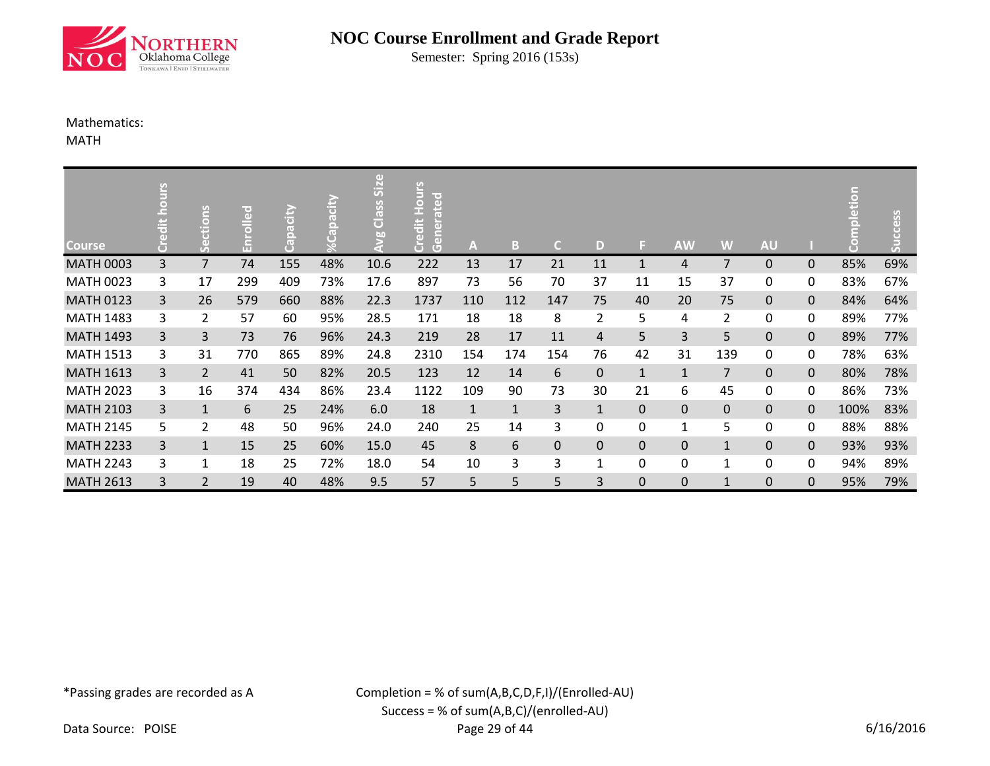

Semester: Spring 2016 (153s)

### Mathematics:

MATH

| <b>Course</b>    | 9<br>Б<br>$\overline{a}$<br>품 | ctions<br>ق    | lir e 1<br>문 | Capacity | pacity<br>τT | $\overline{5}$<br>Class<br>bn | dit Hou<br>erated<br>Gene<br>ق<br>ن | A            | B            | C.  | D              | 31           | <b>AW</b>      | W              | <b>AU</b> |              | $\overline{\bullet}$ | cess<br>こ |
|------------------|-------------------------------|----------------|--------------|----------|--------------|-------------------------------|-------------------------------------|--------------|--------------|-----|----------------|--------------|----------------|----------------|-----------|--------------|----------------------|-----------|
| <b>MATH 0003</b> | 3                             | $\overline{7}$ | 74           | 155      | 48%          | 10.6                          | 222                                 | 13           | 17           | 21  | 11             | 1            | 4              | $\overline{7}$ | 0         | 0            | 85%                  | 69%       |
| <b>MATH 0023</b> | 3                             | 17             | 299          | 409      | 73%          | 17.6                          | 897                                 | 73           | 56           | 70  | 37             | 11           | 15             | 37             | 0         | 0            | 83%                  | 67%       |
| <b>MATH 0123</b> | 3                             | 26             | 579          | 660      | 88%          | 22.3                          | 1737                                | 110          | 112          | 147 | 75             | 40           | 20             | 75             | 0         | 0            | 84%                  | 64%       |
| <b>MATH 1483</b> | 3                             | $\overline{2}$ | 57           | 60       | 95%          | 28.5                          | 171                                 | 18           | 18           | 8   | $\overline{2}$ | 5            | 4              | $\overline{2}$ | 0         | 0            | 89%                  | 77%       |
| <b>MATH 1493</b> | $\mathbf{3}$                  | $\overline{3}$ | 73           | 76       | 96%          | 24.3                          | 219                                 | 28           | 17           | 11  | 4              | 5            | 3              | 5              | 0         | $\mathbf 0$  | 89%                  | 77%       |
| <b>MATH 1513</b> | 3                             | 31             | 770          | 865      | 89%          | 24.8                          | 2310                                | 154          | 174          | 154 | 76             | 42           | 31             | 139            | 0         | 0            | 78%                  | 63%       |
| <b>MATH 1613</b> | 3                             | $\overline{2}$ | 41           | 50       | 82%          | 20.5                          | 123                                 | 12           | 14           | 6   | 0              | $\mathbf{1}$ | $\mathbf{1}$   | $\overline{7}$ | 0         | 0            | 80%                  | 78%       |
| <b>MATH 2023</b> | 3                             | 16             | 374          | 434      | 86%          | 23.4                          | 1122                                | 109          | 90           | 73  | 30             | 21           | 6              | 45             | 0         | 0            | 86%                  | 73%       |
| <b>MATH 2103</b> | 3                             | $\mathbf{1}$   | 6            | 25       | 24%          | 6.0                           | 18                                  | $\mathbf{1}$ | $\mathbf{1}$ | 3   | $\mathbf{1}$   | $\Omega$     | $\overline{0}$ | $\mathbf{0}$   | 0         | $\mathbf 0$  | 100%                 | 83%       |
| <b>MATH 2145</b> | 5                             | $\overline{2}$ | 48           | 50       | 96%          | 24.0                          | 240                                 | 25           | 14           | 3   | 0              | 0            | 1              | 5              | 0         | 0            | 88%                  | 88%       |
| <b>MATH 2233</b> | 3                             | $\mathbf{1}$   | 15           | 25       | 60%          | 15.0                          | 45                                  | 8            | 6            | 0   | 0              | 0            | $\mathbf 0$    | $\mathbf{1}$   | 0         | $\mathbf{0}$ | 93%                  | 93%       |
| <b>MATH 2243</b> | 3                             | 1              | 18           | 25       | 72%          | 18.0                          | 54                                  | 10           | 3            | 3   |                | 0            | 0              | $\mathbf{1}$   | 0         | 0            | 94%                  | 89%       |
| <b>MATH 2613</b> | 3                             | $\overline{2}$ | 19           | 40       | 48%          | 9.5                           | 57                                  | 5            | 5            | 5   | 3              | 0            | 0              | $\mathbf{1}$   | 0         | 0            | 95%                  | 79%       |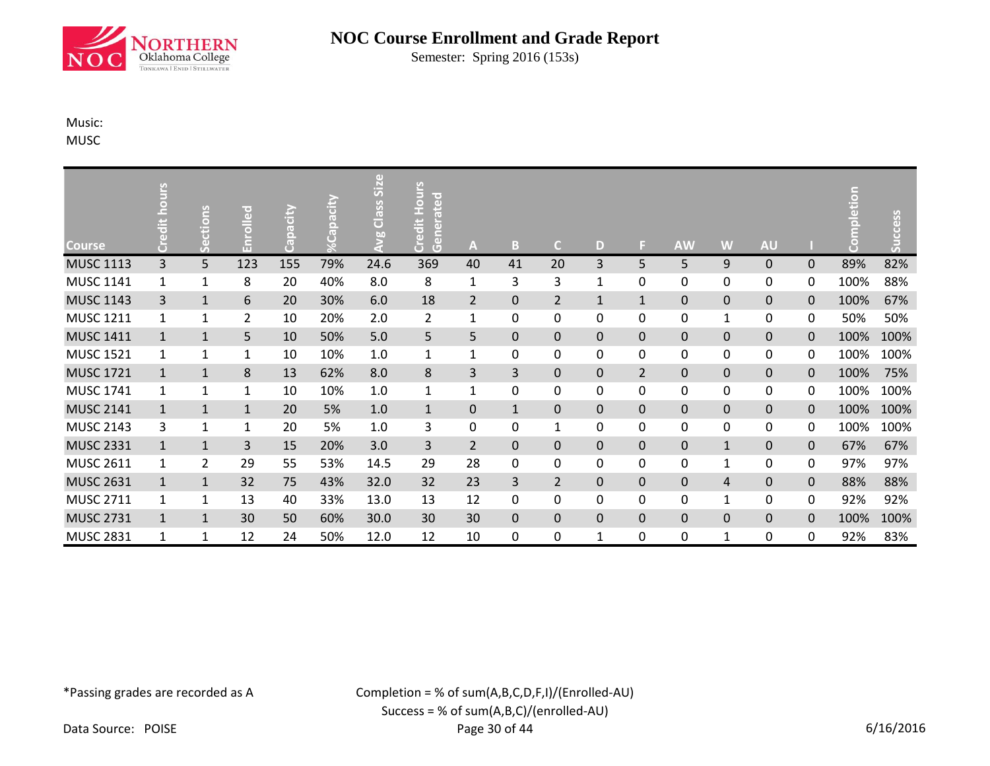

Semester: Spring 2016 (153s)

## Music:

MUSC

| <b>Course</b>    | <b>SJNO</b><br>$\ddot{a}$ | ctions<br>بق | ेता<br>$\bar{a}$<br>Ěnr | Capacity | Capacity<br>उ | Size<br>Class:<br>ğo<br>S | Credit Hou<br>Generated | A              | B            | C.             | D            | ы              | <b>AW</b>        | W            | <b>AU</b>    |              | E    | ccess<br>ສັ |
|------------------|---------------------------|--------------|-------------------------|----------|---------------|---------------------------|-------------------------|----------------|--------------|----------------|--------------|----------------|------------------|--------------|--------------|--------------|------|-------------|
| <b>MUSC 1113</b> | 3                         | 5            | 123                     | 155      | 79%           | 24.6                      | 369                     | 40             | 41           | 20             | 3            | 5              | 5                | 9            | $\Omega$     | $\mathbf{0}$ | 89%  | 82%         |
| <b>MUSC 1141</b> | 1                         | $\mathbf{1}$ | 8                       | 20       | 40%           | 8.0                       | 8                       | 1              | 3            | 3              | 1            | $\mathbf{0}$   | 0                | 0            | 0            | 0            | 100% | 88%         |
| <b>MUSC 1143</b> | 3                         | $\mathbf{1}$ | 6                       | 20       | 30%           | 6.0                       | 18                      | $\overline{2}$ | $\mathbf 0$  | $\overline{2}$ | $\mathbf{1}$ | $\mathbf{1}$   | $\mathbf 0$      | $\mathbf 0$  | $\mathbf 0$  | $\Omega$     | 100% | 67%         |
| <b>MUSC 1211</b> | 1                         | 1            | 2                       | 10       | 20%           | 2.0                       | 2                       | $\mathbf{1}$   | 0            | 0              | 0            | 0              | 0                | $\mathbf{1}$ | 0            | 0            | 50%  | 50%         |
| <b>MUSC 1411</b> | $\mathbf{1}$              | $\mathbf{1}$ | 5                       | 10       | 50%           | 5.0                       | 5                       | 5              | $\mathbf 0$  | $\mathbf 0$    | 0            | $\mathbf 0$    | $\pmb{0}$        | $\pmb{0}$    | $\mathbf 0$  | $\Omega$     | 100% | 100%        |
| <b>MUSC 1521</b> | 1                         | 1            | $\mathbf 1$             | 10       | 10%           | 1.0                       | 1                       | $\mathbf{1}$   | 0            | 0              | 0            | $\mathbf{0}$   | $\pmb{0}$        | 0            | 0            | 0            | 100% | 100%        |
| <b>MUSC 1721</b> | $\mathbf{1}$              | $\mathbf{1}$ | 8                       | 13       | 62%           | 8.0                       | 8                       | 3              | 3            | 0              | 0            | $\overline{2}$ | $\mathbf 0$      | $\mathbf 0$  | $\mathbf{0}$ | $\mathbf{0}$ | 100% | 75%         |
| <b>MUSC 1741</b> | 1                         | $\mathbf{1}$ | 1                       | 10       | 10%           | 1.0                       | 1                       | $\mathbf{1}$   | 0            | 0              | 0            | 0              | 0                | 0            | 0            | 0            | 100% | 100%        |
| <b>MUSC 2141</b> | $\mathbf{1}$              | $\mathbf{1}$ | $\mathbf 1$             | 20       | 5%            | 1.0                       | $\mathbf{1}$            | $\mathbf 0$    | $\mathbf{1}$ | $\Omega$       | $\Omega$     | $\Omega$       | $\boldsymbol{0}$ | $\mathbf 0$  | $\mathbf 0$  | $\Omega$     | 100% | 100%        |
| <b>MUSC 2143</b> | 3                         | 1            | $\mathbf{1}$            | 20       | 5%            | 1.0                       | 3                       | 0              | 0            | 1              | 0            | 0              | 0                | 0            | 0            | 0            | 100% | 100%        |
| <b>MUSC 2331</b> | $\mathbf{1}$              | $\mathbf{1}$ | 3                       | 15       | 20%           | 3.0                       | 3                       | $\overline{2}$ | $\Omega$     | $\Omega$       | $\Omega$     | $\Omega$       | $\mathbf 0$      | $\mathbf{1}$ | $\Omega$     | $\Omega$     | 67%  | 67%         |
| <b>MUSC 2611</b> | 1                         | 2            | 29                      | 55       | 53%           | 14.5                      | 29                      | 28             | 0            | $\mathbf{0}$   | 0            | $\mathbf{0}$   | 0                | $\mathbf{1}$ | 0            | $\mathbf{0}$ | 97%  | 97%         |
| <b>MUSC 2631</b> | $\mathbf{1}$              | $\mathbf{1}$ | 32                      | 75       | 43%           | 32.0                      | 32                      | 23             | 3            | $\overline{2}$ | 0            | $\Omega$       | $\mathbf 0$      | 4            | $\mathbf{0}$ | $\Omega$     | 88%  | 88%         |
| <b>MUSC 2711</b> | 1                         | $\mathbf{1}$ | 13                      | 40       | 33%           | 13.0                      | 13                      | 12             | 0            | 0              | 0            | 0              | 0                | $\mathbf{1}$ | 0            | 0            | 92%  | 92%         |
| <b>MUSC 2731</b> | $\mathbf{1}$              | $\mathbf{1}$ | 30                      | 50       | 60%           | 30.0                      | 30                      | 30             | $\mathbf{0}$ | $\Omega$       | 0            | $\mathbf{0}$   | $\mathbf 0$      | $\mathbf 0$  | $\mathbf{0}$ | $\mathbf{0}$ | 100% | 100%        |
| <b>MUSC 2831</b> | 1                         | $\mathbf{1}$ | 12                      | 24       | 50%           | 12.0                      | 12                      | 10             | 0            | 0              | 1            | 0              | 0                | $\mathbf{1}$ | 0            | $\Omega$     | 92%  | 83%         |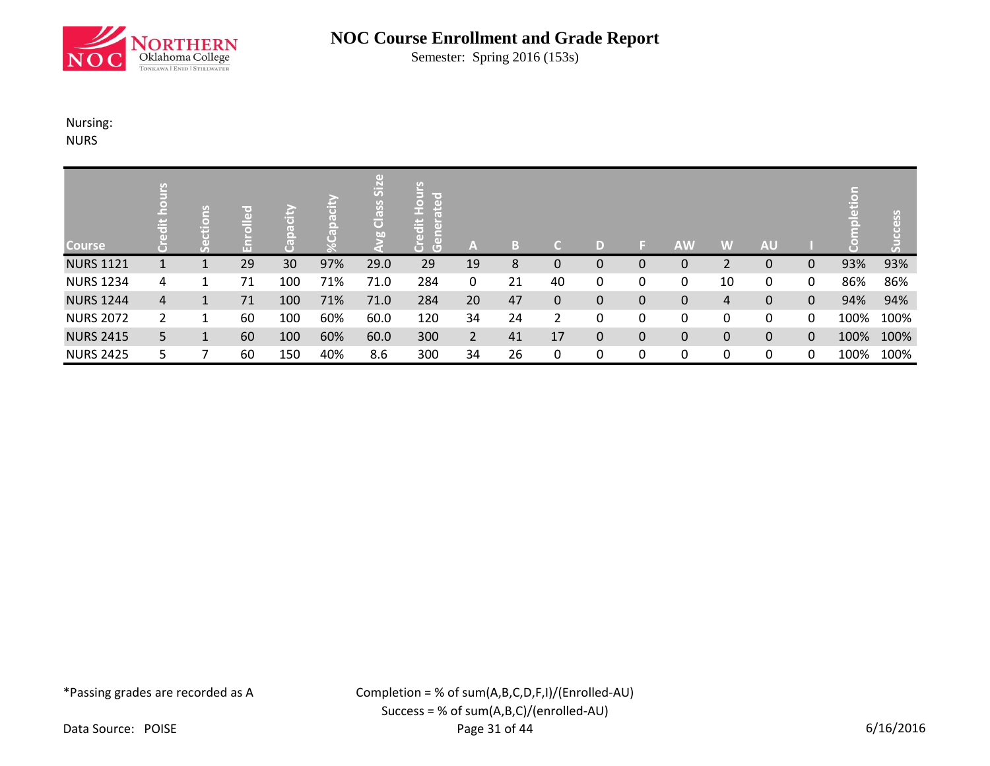

Semester: Spring 2016 (153s)

### Nursing:

NURS

| <b>Course</b>    | ÷              | <u>isuo</u><br>Ë<br>Vá | m  | $\frac{1}{10}$ |     | (1)<br>SiZ<br>SSG<br>ö<br>bn | lir o 1<br>$\overline{a}$<br>오<br>$\ddot{a}$<br>$5\overline{a}$<br>ă<br>$\left( \Box \right)$ | /AV            | B. | r.           | D |              | <b>AW</b>   | W              | <b>AU</b>    |   |      |      |
|------------------|----------------|------------------------|----|----------------|-----|------------------------------|-----------------------------------------------------------------------------------------------|----------------|----|--------------|---|--------------|-------------|----------------|--------------|---|------|------|
| <b>NURS 1121</b> |                |                        | 29 | 30             | 97% | 29.0                         | 29                                                                                            | 19             | 8  | 0            | 0 | $\Omega$     | 0           | $\overline{2}$ | 0            | 0 | 93%  | 93%  |
| <b>NURS 1234</b> | 4              |                        | 71 | 100            | 71% | 71.0                         | 284                                                                                           | 0              | 21 | 40           | 0 | 0            | 0           | 10             | 0            | 0 | 86%  | 86%  |
| <b>NURS 1244</b> | 4              |                        | 71 | 100            | 71% | 71.0                         | 284                                                                                           | 20             | 47 | $\mathbf{0}$ | 0 | $\mathbf{0}$ | $\mathbf 0$ | 4              | $\mathbf{0}$ | 0 | 94%  | 94%  |
| <b>NURS 2072</b> | $\overline{2}$ | 1                      | 60 | 100            | 60% | 60.0                         | 120                                                                                           | 34             | 24 | 2            | 0 | 0            | 0           | 0              | 0            | 0 | 100% | 100% |
| <b>NURS 2415</b> | 5.             |                        | 60 | 100            | 60% | 60.0                         | 300                                                                                           | 2 <sup>1</sup> | 41 | 17           | 0 | $\mathbf{0}$ | $\pmb{0}$   | $\pmb{0}$      | 0            | 0 | 100% | 100% |
| <b>NURS 2425</b> | 5.             |                        | 60 | 150            | 40% | 8.6                          | 300                                                                                           | 34             | 26 | 0            | 0 | 0            | 0           | 0              | 0            | 0 | 100% | 100% |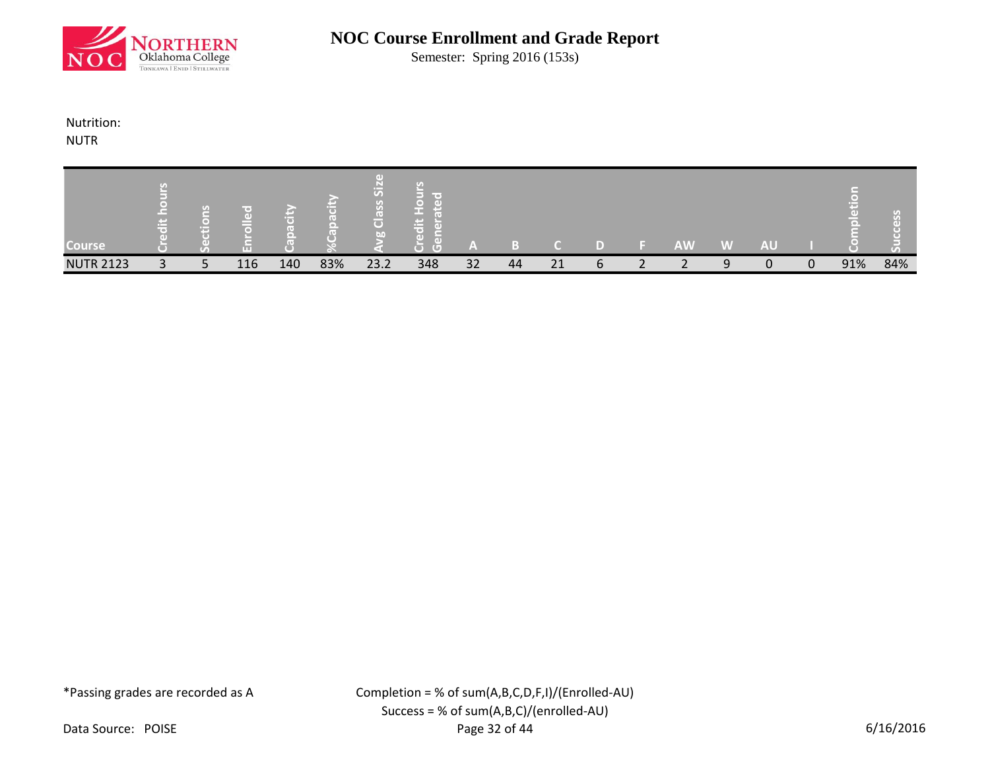

Semester: Spring 2016 (153s)

## Nutrition:

NUTR

| <b>Course</b>    |              | S | m   |     |     | S<br>G<br>bn. | -<br>ta 1 |    |    |    |  | <b>AW</b>                | W            | <b>AU</b> |   |     | ا ه ۱ |
|------------------|--------------|---|-----|-----|-----|---------------|-----------|----|----|----|--|--------------------------|--------------|-----------|---|-----|-------|
| <b>NUTR 2123</b> | $\mathbf{P}$ |   | 116 | 140 | 83% | 23.2          | 348       | 32 | 44 | 21 |  | $\overline{\phantom{0}}$ | $\mathbf{Q}$ | $\Omega$  | ∩ | 91% | 84%   |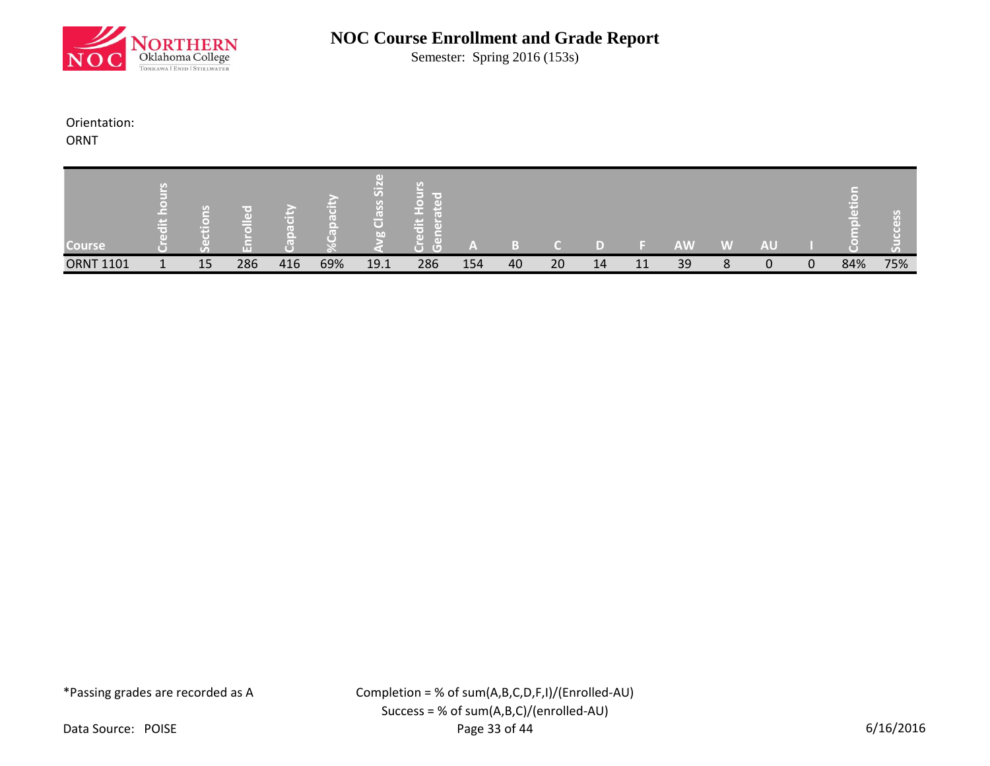

Semester: Spring 2016 (153s)

### Orientation:

ORNT

| <b>Course</b>    | ment of the contract of the contract of the contract of the contract of the contract of the contract of the contract of the contract of the contract of the contract of the contract of the contract of the contract of the co<br>__ | S<br>œ | m   |     |     | $\overline{S}$<br>$\overline{\bullet}$<br><b>Tale</b> | <b>COLLECT</b><br>$\sim$<br>$\sim$<br>$\sqrt{2}$<br>τn | '≞′ |    |    |    |    | <b>AW</b> | W | <b>AU</b> |          |     |     |
|------------------|--------------------------------------------------------------------------------------------------------------------------------------------------------------------------------------------------------------------------------------|--------|-----|-----|-----|-------------------------------------------------------|--------------------------------------------------------|-----|----|----|----|----|-----------|---|-----------|----------|-----|-----|
| <b>ORNT 1101</b> | 1                                                                                                                                                                                                                                    | 15     | 286 | 416 | 69% | 19.1                                                  | 286                                                    | 154 | 40 | 20 | 14 | 11 | 39        | 8 | 0         | $\Omega$ | 84% | 75% |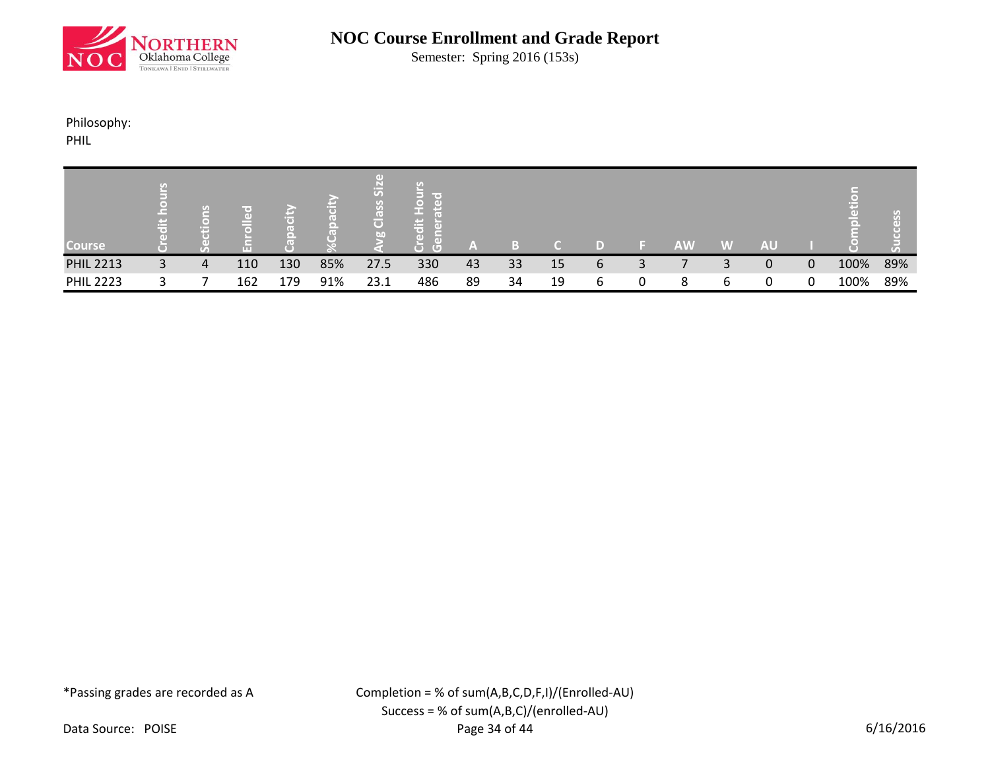

Semester: Spring 2016 (153s)

## Philosophy:

PHIL

| <b>Course</b>    | . .<br> | U) | GD.<br>mп |     |     | $\overline{S}$<br>$\left( 1, 1 \right)$<br>$\overline{C}$<br>bn | <b>COLLEGE</b><br>ω<br>$\left( \Box \right)$<br>O | A  |    |    |   | <b>AW</b> | W | <b>AU</b> |   |      |     |
|------------------|---------|----|-----------|-----|-----|-----------------------------------------------------------------|---------------------------------------------------|----|----|----|---|-----------|---|-----------|---|------|-----|
| <b>PHIL 2213</b> | 3       | 4  | 110       | 130 | 85% | 27.5                                                            | 330                                               | 43 | 33 | 15 | 6 |           |   | 0         | 0 | 100% | 89% |
| <b>PHIL 2223</b> | ີ       |    | 162       | 179 | 91% | 23.1                                                            | 486                                               | 89 | 34 | 19 | ь | 8         | 6 | 0         |   | 100% | 89% |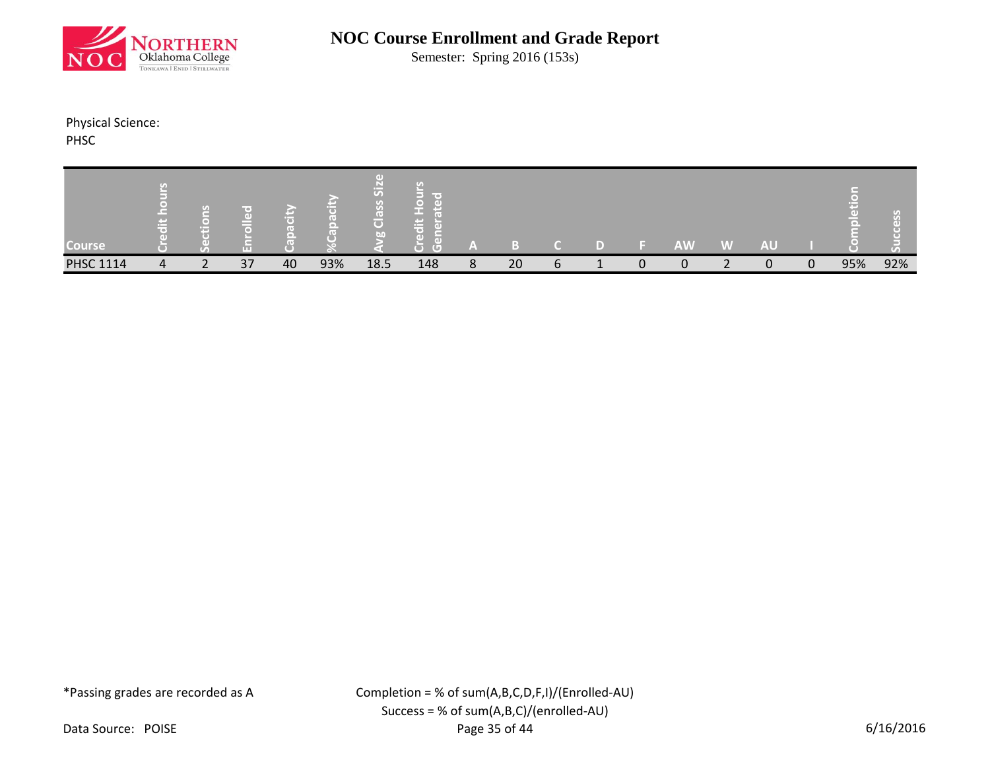

Semester: Spring 2016 (153s)

Physical Science:

PHSC

| <b>Course</b>    |   | G<br>nun                      |    |    |     | S<br>$\overline{\mathbf{C}}$<br>hn | <b>Contract</b><br>ъ<br>7. 11 |   |    |   |  | <b>AW</b> | W | <b>AU</b> |          |     |     |
|------------------|---|-------------------------------|----|----|-----|------------------------------------|-------------------------------|---|----|---|--|-----------|---|-----------|----------|-----|-----|
| <b>PHSC 1114</b> | 4 | $\overline{\phantom{0}}$<br>∠ | 37 | 40 | 93% | 18.5                               | 148                           | 8 | 20 | ь |  | 0         |   | 0         | $\Omega$ | 95% | 92% |

\*Passing grades are recorded as A

Completion = % of sum(A,B,C,D,F,I)/(Enrolled-AU) Success = % of sum(A,B,C)/(enrolled-AU) Page 35 of 44 6/16/2016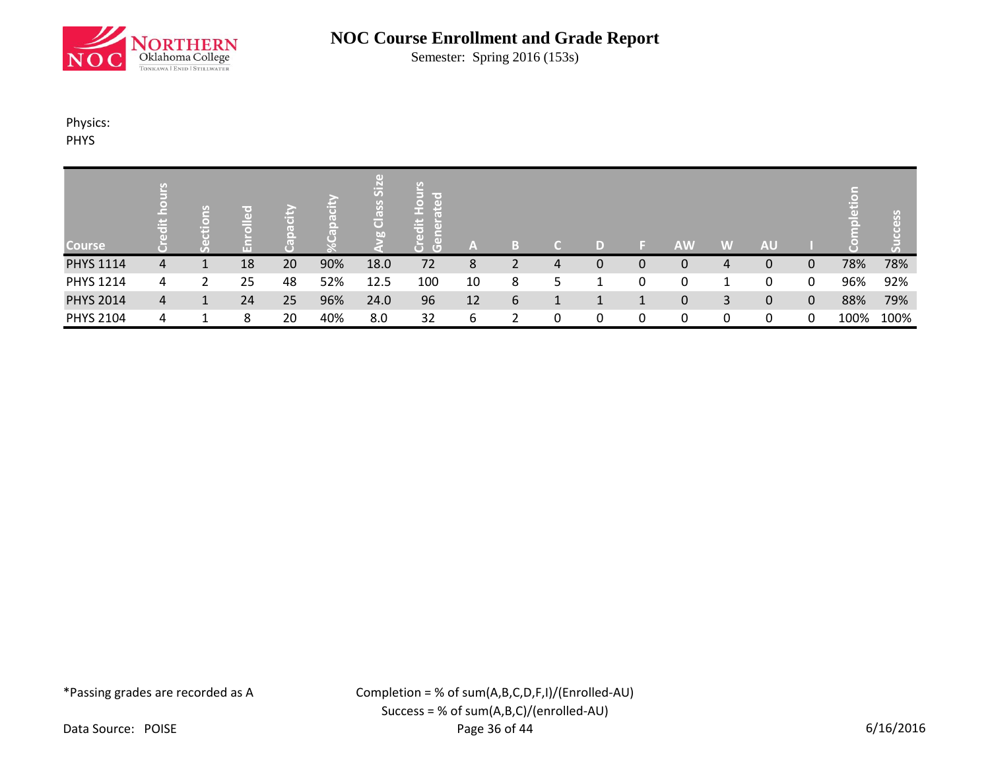

Semester: Spring 2016 (153s)

## Physics:

PHYS

|                  |   | P)<br>$\Box$<br>F. |    |    |     | $\overline{5}$<br>$\overline{C}$<br>õ<br>bn | lir er<br>ä<br>$\overline{a}$<br>− |    |   |   |   |   |           |   |           |              |      | U)   |
|------------------|---|--------------------|----|----|-----|---------------------------------------------|------------------------------------|----|---|---|---|---|-----------|---|-----------|--------------|------|------|
| <b>Course</b>    |   |                    |    |    |     |                                             | G)                                 | A  |   |   | D |   | <b>AW</b> | W | <b>AU</b> |              |      |      |
| <b>PHYS 1114</b> | 4 |                    | 18 | 20 | 90% | 18.0                                        | 72                                 | 8  |   | 4 | 0 | 0 | 0         | 4 | 0         | 0            | 78%  | 78%  |
| <b>PHYS 1214</b> | 4 | 2                  | 25 | 48 | 52% | 12.5                                        | 100                                | 10 | 8 | 5 |   |   | 0         | 1 | 0         | 0            | 96%  | 92%  |
| <b>PHYS 2014</b> | 4 |                    | 24 | 25 | 96% | 24.0                                        | 96                                 | 12 | 6 |   |   |   | 0         | 3 | 0         | $\mathbf{0}$ | 88%  | 79%  |
| <b>PHYS 2104</b> | 4 |                    | 8  | 20 | 40% | 8.0                                         | 32                                 | 6  |   | 0 | 0 |   | 0         | 0 | 0         | 0            | 100% | 100% |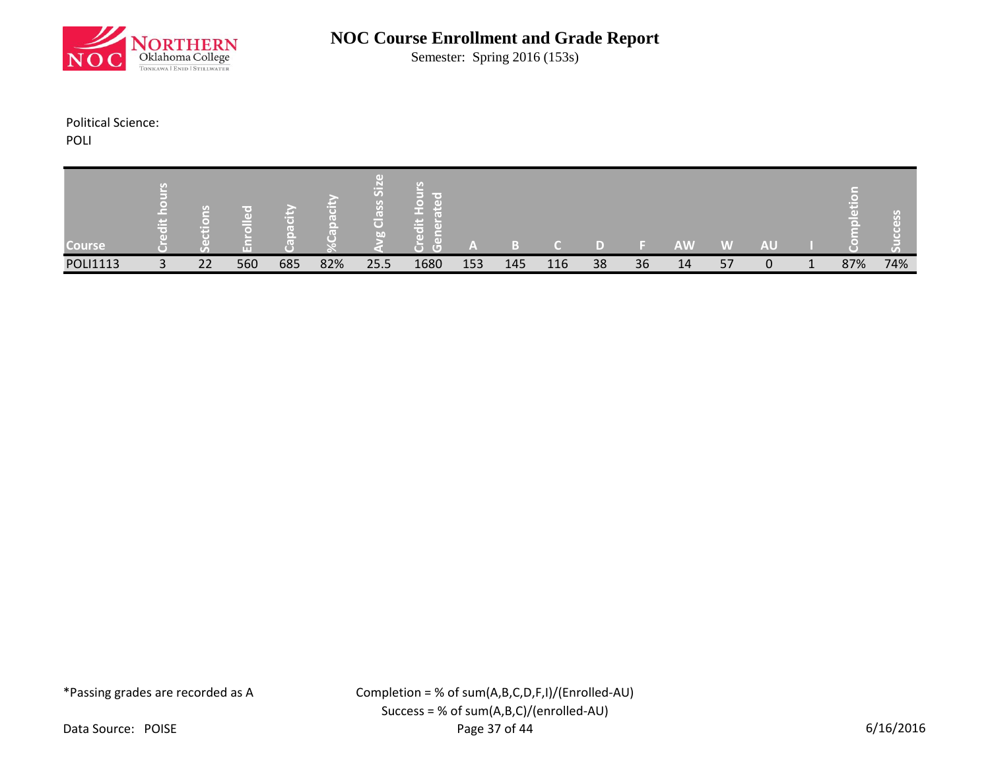

Semester: Spring 2016 (153s)

### Political Science:

POLI

| <b>Course</b>   |                   | G<br>н |     |     |     | $\sigma$<br>$\overline{C}$<br>bn | mar e i<br><b>Contract</b><br>$\overline{(\Box)}$ | $\sim$ |     |     |    |    | <b>AW</b> | W  | <b>AU</b> |     |     |
|-----------------|-------------------|--------|-----|-----|-----|----------------------------------|---------------------------------------------------|--------|-----|-----|----|----|-----------|----|-----------|-----|-----|
| <b>POLI1113</b> | $\mathbf{a}$<br>ر | 22     | 560 | 685 | 82% | 25.5                             | 1680                                              | 153    | 145 | 116 | 38 | 36 | 14        | 57 | 0         | 87% | 74% |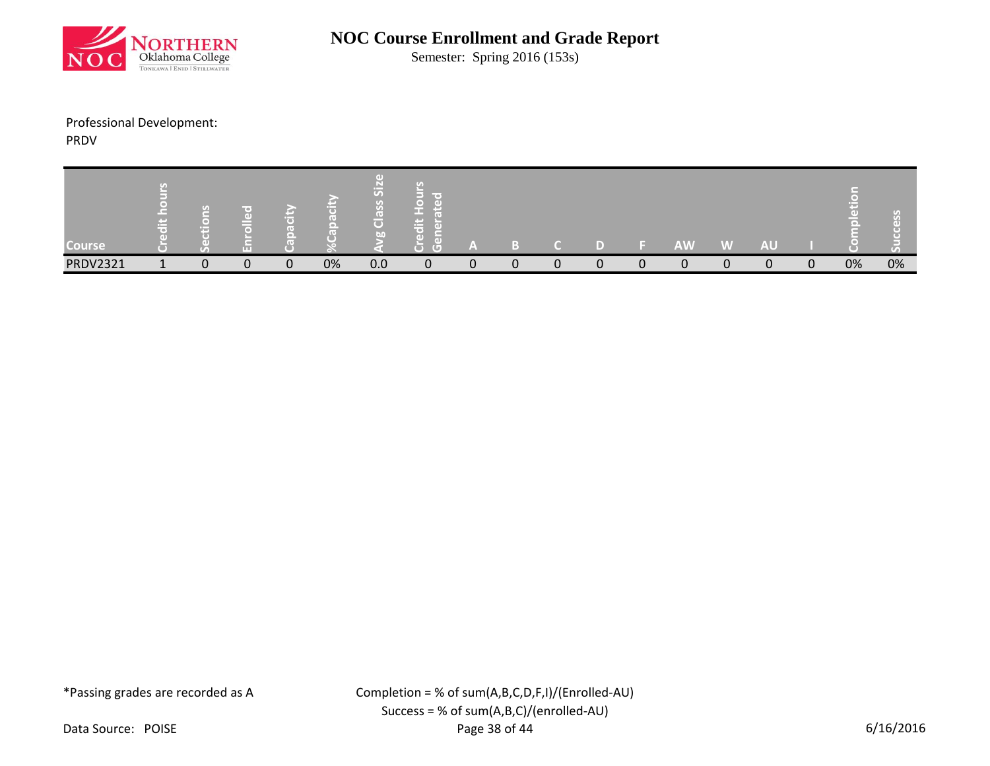

Semester: Spring 2016 (153s)

## Professional Development:

PRDV

| <b>Course</b>   |                          | $\mathbf{G}$<br>m | ŒГ       |   |    | ত<br>o<br>$\overline{\mathbf{C}}$<br>bo | <b>Contract</b><br>G)<br>-- |   |  |              |   | <b>AW</b> | W            | <b>AU</b> |          | Œ  |    |
|-----------------|--------------------------|-------------------|----------|---|----|-----------------------------------------|-----------------------------|---|--|--------------|---|-----------|--------------|-----------|----------|----|----|
| <b>PRDV2321</b> | $\overline{\phantom{a}}$ | $\Omega$          | $\Omega$ | 0 | 0% | 0.0                                     | $\Omega$                    | 0 |  | <sup>n</sup> | n |           | <sup>n</sup> | 0         | $\Omega$ | 0% | 0% |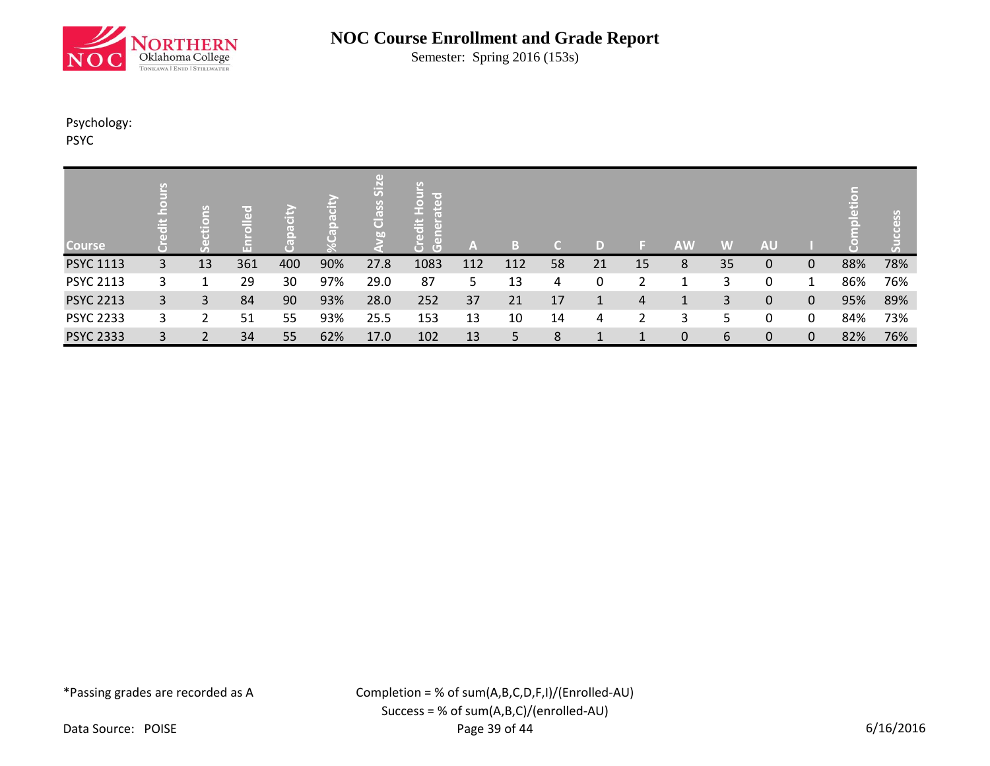

Semester: Spring 2016 (153s)

## Psychology:

PSYC

| <b>Course</b>    | Ħ  | <u>Isilo</u><br>Ę | ЮD  | m   | (e) | I + F I<br>5<br>Class<br>bn | lin e t<br>$\left( \mathbf{d}\right)$<br>$\bullet$<br>edit<br>ਨ<br>т.<br>ō<br>$\left( \Box \right)$ | ÆV  | l = 1<br>۱. . ۱ |    | D  |    | <b>AW</b>   | W  | <b>AU</b> |              |     |     |
|------------------|----|-------------------|-----|-----|-----|-----------------------------|-----------------------------------------------------------------------------------------------------|-----|-----------------|----|----|----|-------------|----|-----------|--------------|-----|-----|
| <b>PSYC 1113</b> | 3. | 13                | 361 | 400 | 90% | 27.8                        | 1083                                                                                                | 112 | 112             | 58 | 21 | 15 | 8           | 35 | 0         | $\mathbf{0}$ | 88% | 78% |
| <b>PSYC 2113</b> | 3. |                   | 29  | 30  | 97% | 29.0                        | 87                                                                                                  | 5.  | 13              | 4  | 0  |    |             | 3  | 0         |              | 86% | 76% |
| <b>PSYC 2213</b> | 3  | 3                 | 84  | 90  | 93% | 28.0                        | 252                                                                                                 | 37  | 21              | 17 |    | 4  |             | 3  | 0         | $\mathbf{0}$ | 95% | 89% |
| <b>PSYC 2233</b> | 3. | ว                 | 51  | 55  | 93% | 25.5                        | 153                                                                                                 | 13  | 10              | 14 | 4  |    | 3           | 5  | 0         | 0            | 84% | 73% |
| <b>PSYC 2333</b> | 3  |                   | 34  | 55  | 62% | 17.0                        | 102                                                                                                 | 13  | 5               | 8  |    |    | $\mathbf 0$ | 6  | 0         | $\mathbf{0}$ | 82% | 76% |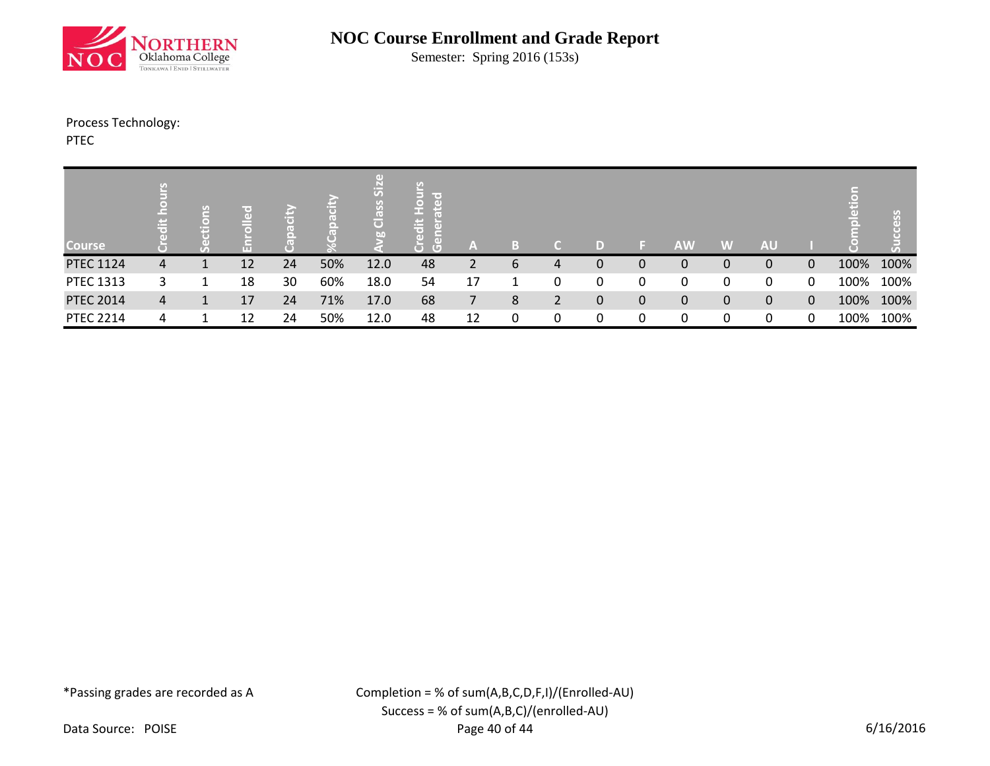

Semester: Spring 2016 (153s)

Process Technology:

PTEC

| <b>Course</b>    |   | v.<br>۲A,<br>G<br>Ē. |    |    |     | $\overline{5}$<br>SSP<br>lō<br><b>b</b> <sub>0</sub> | lir er<br>녱<br>Æ<br>$\overline{G}$ | A              |   |   | D |              | <b>AW</b> | W | <b>AU</b> |   |      | ပ္ပ  |
|------------------|---|----------------------|----|----|-----|------------------------------------------------------|------------------------------------|----------------|---|---|---|--------------|-----------|---|-----------|---|------|------|
| <b>PTEC 1124</b> | 4 |                      | 12 | 24 | 50% | 12.0                                                 | 48                                 | $\mathbf{2}$   | 6 | 4 | 0 | $\Omega$     | 0         | 0 | 0         | 0 | 100% | 100% |
| PTEC 1313        | 3 |                      | 18 | 30 | 60% | 18.0                                                 | 54                                 | 17             |   | 0 | 0 |              | 0         | 0 | 0         | 0 | 100% | 100% |
| <b>PTEC 2014</b> | 4 |                      | 17 | 24 | 71% | 17.0                                                 | 68                                 | $\overline{7}$ | 8 | 2 | 0 | $\mathbf{0}$ | 0         | 0 | 0         | 0 | 100% | 100% |
| <b>PTEC 2214</b> | 4 |                      | 12 | 24 | 50% | 12.0                                                 | 48                                 | 12             | 0 | 0 | 0 |              | 0         | 0 | 0         | 0 | 100% | 100% |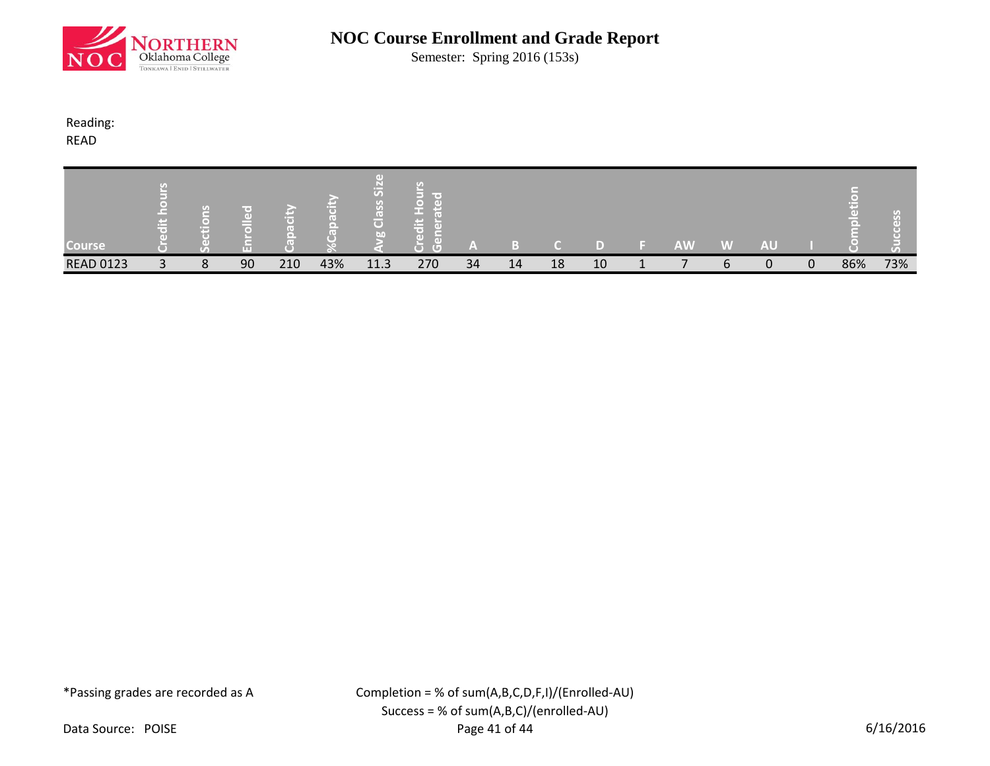

Semester: Spring 2016 (153s)

### Reading:

READ

| <b>Course</b>    |              | U.<br>m |    |     |     | U)<br>$\overline{C}$<br>GOT | <b>COLLECTION</b><br>ы |    |    |    |    | <b>AW</b> | W | <b>AU</b> |   |     |     |
|------------------|--------------|---------|----|-----|-----|-----------------------------|------------------------|----|----|----|----|-----------|---|-----------|---|-----|-----|
| <b>READ 0123</b> | $\mathbf{r}$ | 8       | 90 | 210 | 43% | 11.3                        | 270                    | 34 | 14 | 18 | 10 |           |   | 0         | 0 | 86% | 73% |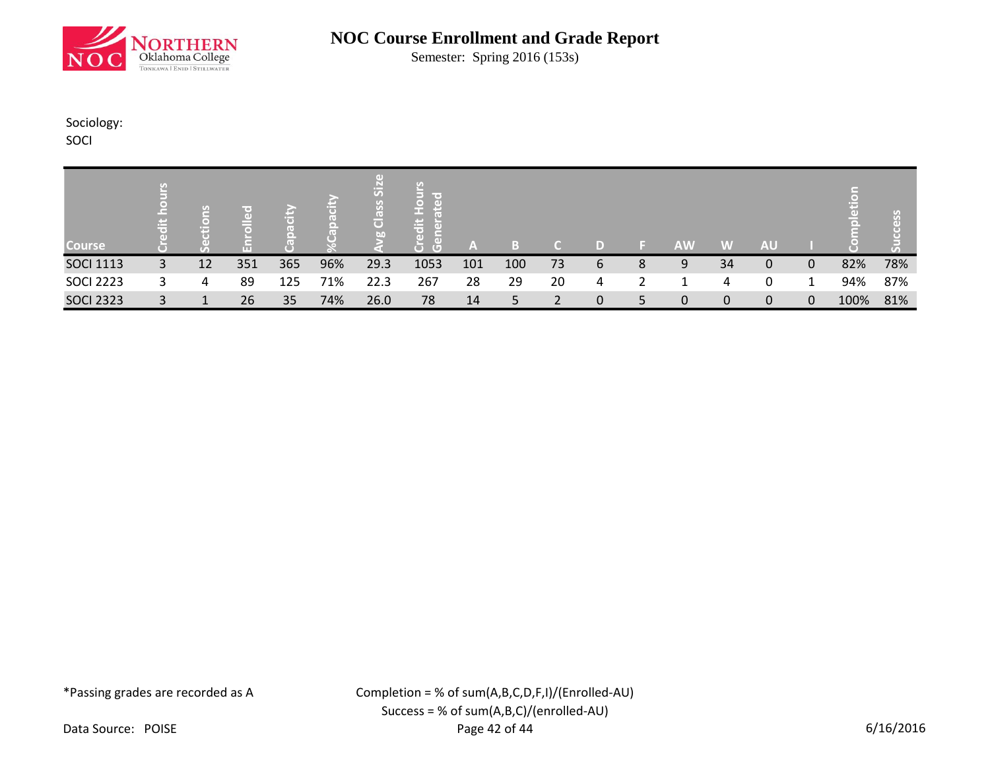

Semester: Spring 2016 (153s)

## Sociology:

SOCI

| Course <sup>1</sup> | p.           | 日<br>$\bullet$<br>ш |     |     |     | 5<br>$\overline{\mathbf{o}}$<br><b>GG</b> | ir o<br>1号<br>$\overline{a}$<br>−<br>$\overline{G}$ | A   |     |    | D |   | <b>AW</b>    | W            | <b>AU</b>    |   |      |     |
|---------------------|--------------|---------------------|-----|-----|-----|-------------------------------------------|-----------------------------------------------------|-----|-----|----|---|---|--------------|--------------|--------------|---|------|-----|
|                     |              |                     |     |     |     |                                           |                                                     |     |     |    |   |   |              |              |              |   |      |     |
| <b>SOCI 1113</b>    | 3            | 12                  | 351 | 365 | 96% | 29.3                                      | 1053                                                | 101 | 100 | 73 | 6 | 8 | 9            | 34           | 0            | 0 | 82%  | 78% |
| <b>SOCI 2223</b>    |              | 4                   | 89  | 125 | 71% | 22.3                                      | 267                                                 | 28  | 29  | 20 | 4 |   |              | 4            | 0            |   | 94%  | 87% |
| <b>SOCI 2323</b>    | $\mathbf{R}$ |                     | 26  | 35  | 74% | 26.0                                      | 78                                                  | 14  | 5   |    | 0 |   | $\mathbf{0}$ | $\mathbf{0}$ | $\mathbf{0}$ | 0 | 100% | 81% |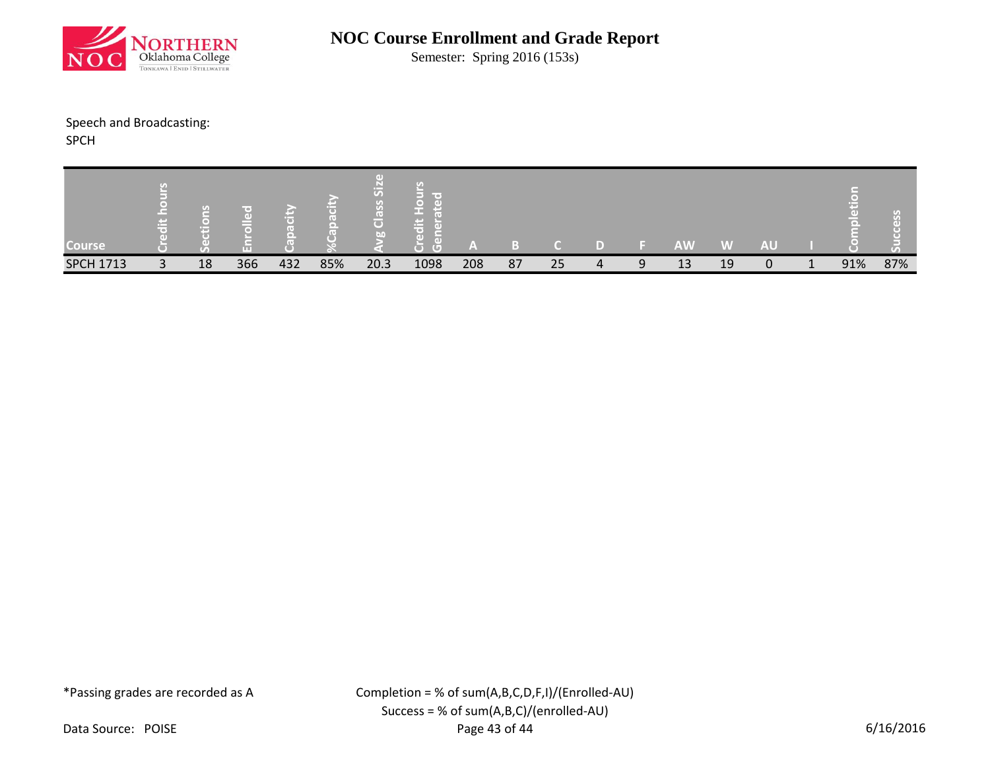

Semester: Spring 2016 (153s)

### Speech and Broadcasting:

SPCH

| Course <sup>1</sup> |   | <u>ra</u><br>œ | m   |     |     | $\sigma$<br>la l<br>bn | m –<br><b>Contract</b><br>m<br>-<br>Œ. | I Al |    |    |   | <b>AW</b> | W  | <b>AU</b> |     | $\lbrack \mathcal{F}_{A}\rbrack$ |
|---------------------|---|----------------|-----|-----|-----|------------------------|----------------------------------------|------|----|----|---|-----------|----|-----------|-----|----------------------------------|
| <b>SPCH 1713</b>    | 3 | 18             | 366 | 432 | 85% | 20.3                   | 1098                                   | 208  | 87 | 25 | Q | 13        | 19 | 0         | 91% | 87%                              |